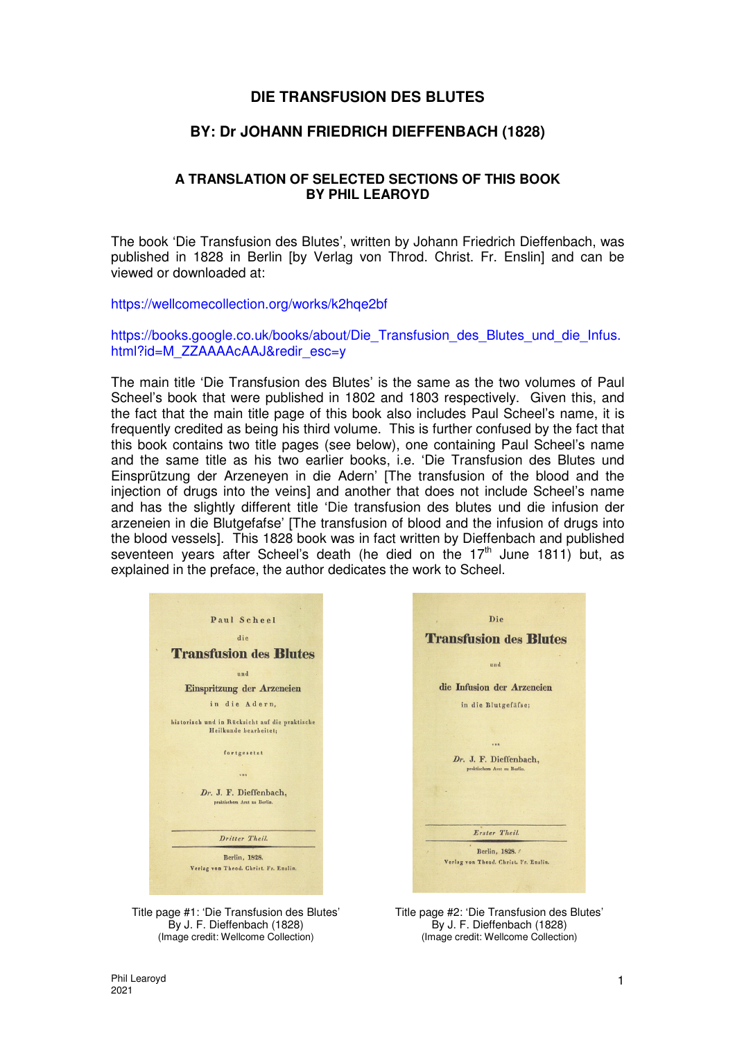# **DIE TRANSFUSION DES BLUTES**

# **BY: Dr JOHANN FRIEDRICH DIEFFENBACH (1828)**

# **A TRANSLATION OF SELECTED SECTIONS OF THIS BOOK BY PHIL LEAROYD**

The book 'Die Transfusion des Blutes', written by Johann Friedrich Dieffenbach, was published in 1828 in Berlin [by Verlag von Throd. Christ. Fr. Enslin] and can be viewed or downloaded at:

https://wellcomecollection.org/works/k2hqe2bf

https://books.google.co.uk/books/about/Die\_Transfusion\_des\_Blutes\_und\_die\_Infus. html?id=M\_ZZAAAAcAAJ&redir\_esc=y

The main title 'Die Transfusion des Blutes' is the same as the two volumes of Paul Scheel's book that were published in 1802 and 1803 respectively. Given this, and the fact that the main title page of this book also includes Paul Scheel's name, it is frequently credited as being his third volume. This is further confused by the fact that this book contains two title pages (see below), one containing Paul Scheel's name and the same title as his two earlier books, i.e. 'Die Transfusion des Blutes und Einsprützung der Arzeneyen in die Adern' [The transfusion of the blood and the injection of drugs into the veins] and another that does not include Scheel's name and has the slightly different title 'Die transfusion des blutes und die infusion der arzeneien in die Blutgefafse' [The transfusion of blood and the infusion of drugs into the blood vessels]. This 1828 book was in fact written by Dieffenbach and published seventeen years after Scheel's death (he died on the 17<sup>th</sup> June 1811) but, as explained in the preface, the author dedicates the work to Scheel.







Title page #2: 'Die Transfusion des Blutes' By J. F. Dieffenbach (1828) (Image credit: Wellcome Collection)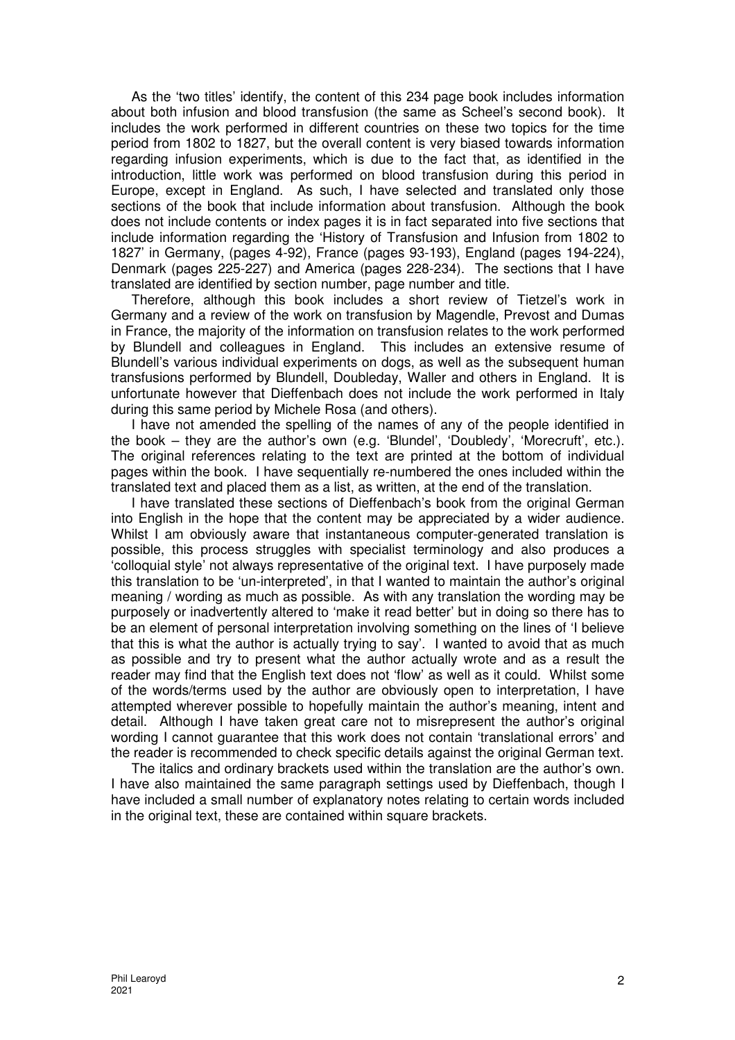As the 'two titles' identify, the content of this 234 page book includes information about both infusion and blood transfusion (the same as Scheel's second book). It includes the work performed in different countries on these two topics for the time period from 1802 to 1827, but the overall content is very biased towards information regarding infusion experiments, which is due to the fact that, as identified in the introduction, little work was performed on blood transfusion during this period in Europe, except in England. As such, I have selected and translated only those sections of the book that include information about transfusion. Although the book does not include contents or index pages it is in fact separated into five sections that include information regarding the 'History of Transfusion and Infusion from 1802 to 1827' in Germany, (pages 4-92), France (pages 93-193), England (pages 194-224), Denmark (pages 225-227) and America (pages 228-234). The sections that I have translated are identified by section number, page number and title.

Therefore, although this book includes a short review of Tietzel's work in Germany and a review of the work on transfusion by Magendle, Prevost and Dumas in France, the majority of the information on transfusion relates to the work performed by Blundell and colleagues in England. This includes an extensive resume of Blundell's various individual experiments on dogs, as well as the subsequent human transfusions performed by Blundell, Doubleday, Waller and others in England. It is unfortunate however that Dieffenbach does not include the work performed in Italy during this same period by Michele Rosa (and others).

I have not amended the spelling of the names of any of the people identified in the book – they are the author's own (e.g. 'Blundel', 'Doubledy', 'Morecruft', etc.). The original references relating to the text are printed at the bottom of individual pages within the book. I have sequentially re-numbered the ones included within the translated text and placed them as a list, as written, at the end of the translation.

I have translated these sections of Dieffenbach's book from the original German into English in the hope that the content may be appreciated by a wider audience. Whilst I am obviously aware that instantaneous computer-generated translation is possible, this process struggles with specialist terminology and also produces a 'colloquial style' not always representative of the original text. I have purposely made this translation to be 'un-interpreted', in that I wanted to maintain the author's original meaning / wording as much as possible. As with any translation the wording may be purposely or inadvertently altered to 'make it read better' but in doing so there has to be an element of personal interpretation involving something on the lines of 'I believe that this is what the author is actually trying to say'. I wanted to avoid that as much as possible and try to present what the author actually wrote and as a result the reader may find that the English text does not 'flow' as well as it could. Whilst some of the words/terms used by the author are obviously open to interpretation, I have attempted wherever possible to hopefully maintain the author's meaning, intent and detail. Although I have taken great care not to misrepresent the author's original wording I cannot guarantee that this work does not contain 'translational errors' and the reader is recommended to check specific details against the original German text.

The italics and ordinary brackets used within the translation are the author's own. I have also maintained the same paragraph settings used by Dieffenbach, though I have included a small number of explanatory notes relating to certain words included in the original text, these are contained within square brackets.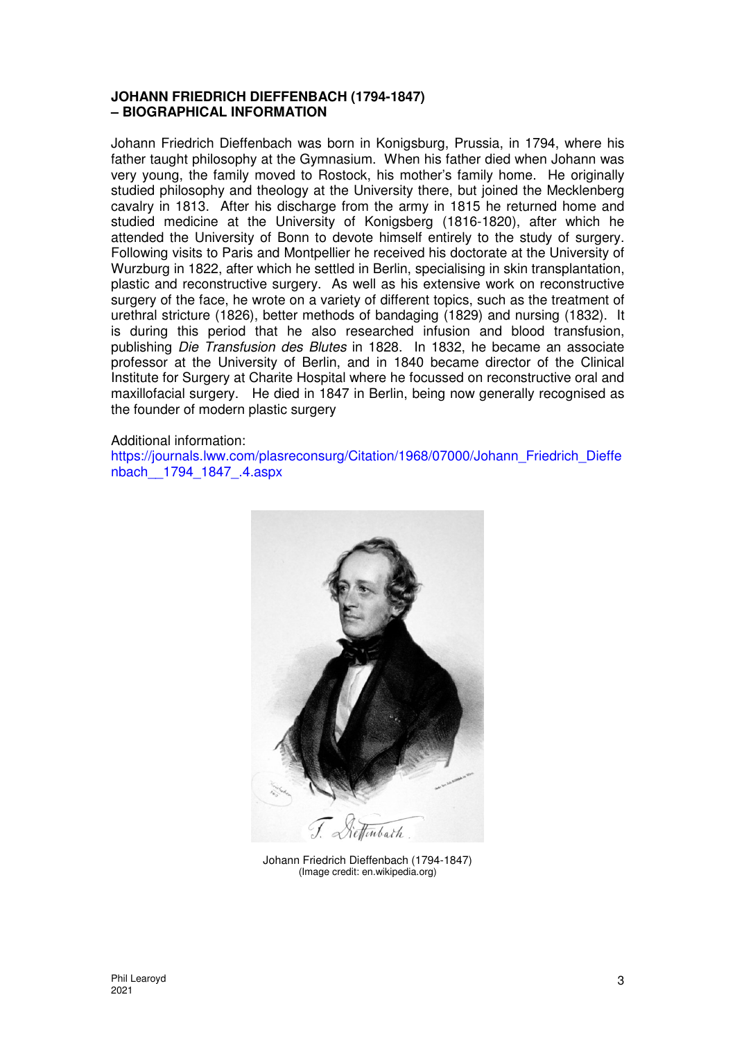## **JOHANN FRIEDRICH DIEFFENBACH (1794-1847) – BIOGRAPHICAL INFORMATION**

Johann Friedrich Dieffenbach was born in Konigsburg, Prussia, in 1794, where his father taught philosophy at the Gymnasium. When his father died when Johann was very young, the family moved to Rostock, his mother's family home. He originally studied philosophy and theology at the University there, but joined the Mecklenberg cavalry in 1813. After his discharge from the army in 1815 he returned home and studied medicine at the University of Konigsberg (1816-1820), after which he attended the University of Bonn to devote himself entirely to the study of surgery. Following visits to Paris and Montpellier he received his doctorate at the University of Wurzburg in 1822, after which he settled in Berlin, specialising in skin transplantation, plastic and reconstructive surgery. As well as his extensive work on reconstructive surgery of the face, he wrote on a variety of different topics, such as the treatment of urethral stricture (1826), better methods of bandaging (1829) and nursing (1832). It is during this period that he also researched infusion and blood transfusion, publishing Die Transfusion des Blutes in 1828. In 1832, he became an associate professor at the University of Berlin, and in 1840 became director of the Clinical Institute for Surgery at Charite Hospital where he focussed on reconstructive oral and maxillofacial surgery. He died in 1847 in Berlin, being now generally recognised as the founder of modern plastic surgery

## Additional information:

https://journals.lww.com/plasreconsurg/Citation/1968/07000/Johann\_Friedrich\_Dieffe nbach\_\_1794\_1847\_.4.aspx



Johann Friedrich Dieffenbach (1794-1847) (Image credit: en.wikipedia.org)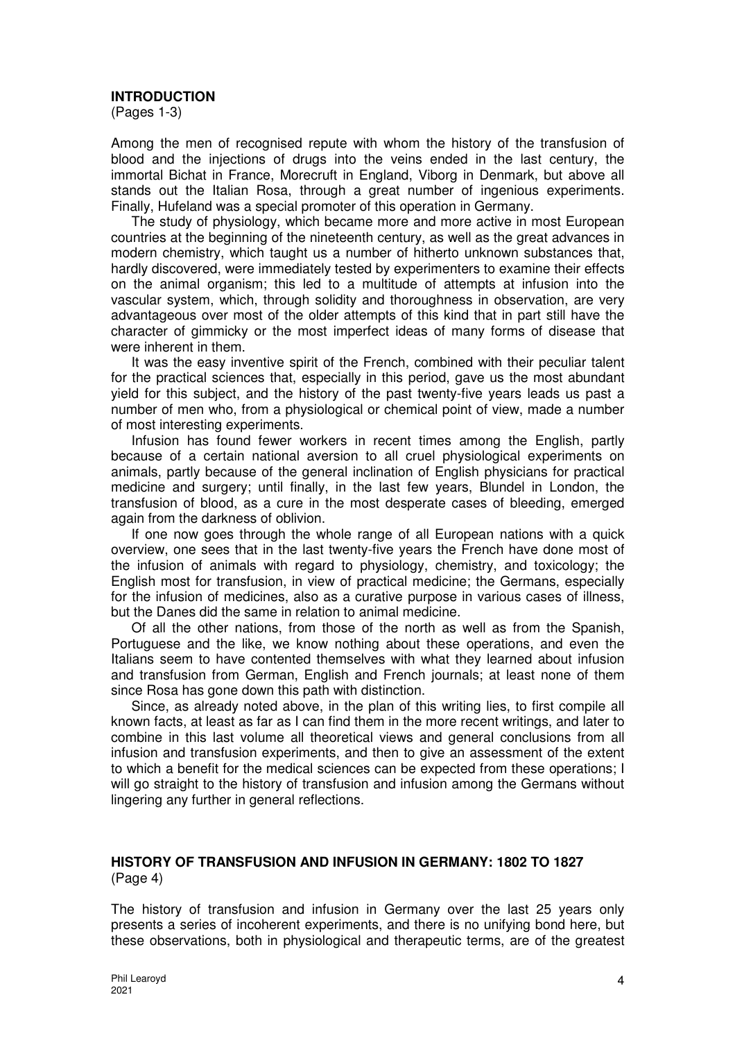## **INTRODUCTION**

(Pages 1-3)

Among the men of recognised repute with whom the history of the transfusion of blood and the injections of drugs into the veins ended in the last century, the immortal Bichat in France, Morecruft in England, Viborg in Denmark, but above all stands out the Italian Rosa, through a great number of ingenious experiments. Finally, Hufeland was a special promoter of this operation in Germany.

The study of physiology, which became more and more active in most European countries at the beginning of the nineteenth century, as well as the great advances in modern chemistry, which taught us a number of hitherto unknown substances that, hardly discovered, were immediately tested by experimenters to examine their effects on the animal organism; this led to a multitude of attempts at infusion into the vascular system, which, through solidity and thoroughness in observation, are very advantageous over most of the older attempts of this kind that in part still have the character of gimmicky or the most imperfect ideas of many forms of disease that were inherent in them.

It was the easy inventive spirit of the French, combined with their peculiar talent for the practical sciences that, especially in this period, gave us the most abundant yield for this subject, and the history of the past twenty-five years leads us past a number of men who, from a physiological or chemical point of view, made a number of most interesting experiments.

Infusion has found fewer workers in recent times among the English, partly because of a certain national aversion to all cruel physiological experiments on animals, partly because of the general inclination of English physicians for practical medicine and surgery; until finally, in the last few years, Blundel in London, the transfusion of blood, as a cure in the most desperate cases of bleeding, emerged again from the darkness of oblivion.

If one now goes through the whole range of all European nations with a quick overview, one sees that in the last twenty-five years the French have done most of the infusion of animals with regard to physiology, chemistry, and toxicology; the English most for transfusion, in view of practical medicine; the Germans, especially for the infusion of medicines, also as a curative purpose in various cases of illness, but the Danes did the same in relation to animal medicine.

Of all the other nations, from those of the north as well as from the Spanish, Portuguese and the like, we know nothing about these operations, and even the Italians seem to have contented themselves with what they learned about infusion and transfusion from German, English and French journals; at least none of them since Rosa has gone down this path with distinction.

Since, as already noted above, in the plan of this writing lies, to first compile all known facts, at least as far as I can find them in the more recent writings, and later to combine in this last volume all theoretical views and general conclusions from all infusion and transfusion experiments, and then to give an assessment of the extent to which a benefit for the medical sciences can be expected from these operations; I will go straight to the history of transfusion and infusion among the Germans without lingering any further in general reflections.

# **HISTORY OF TRANSFUSION AND INFUSION IN GERMANY: 1802 TO 1827**  (Page 4)

The history of transfusion and infusion in Germany over the last 25 years only presents a series of incoherent experiments, and there is no unifying bond here, but these observations, both in physiological and therapeutic terms, are of the greatest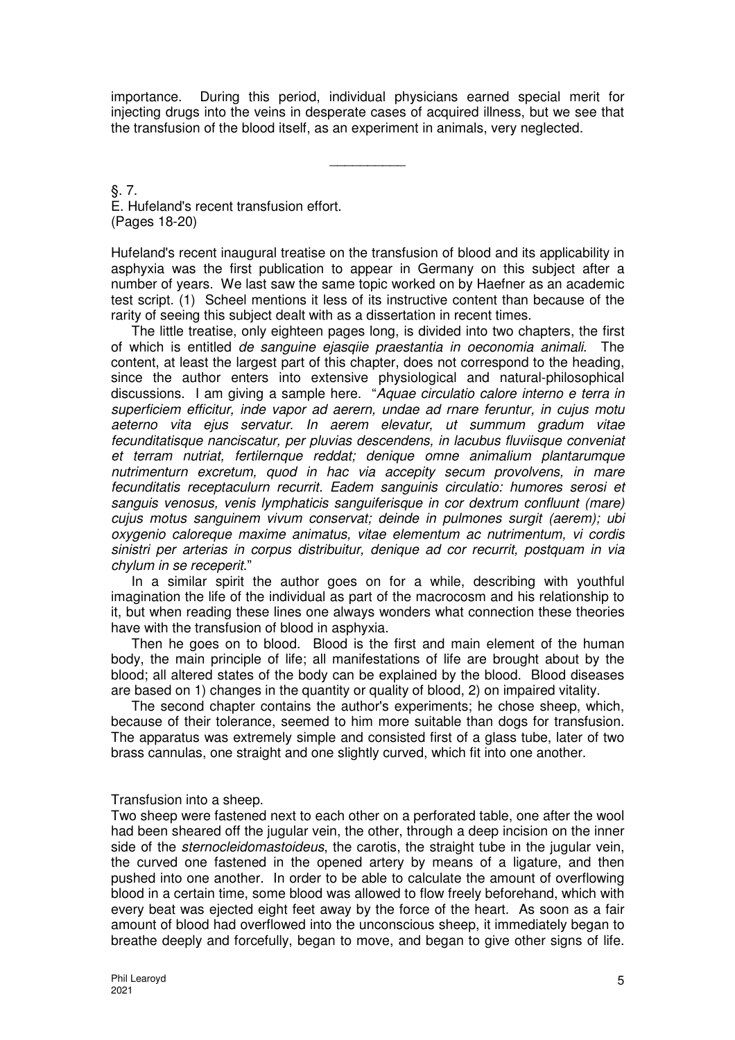importance. During this period, individual physicians earned special merit for injecting drugs into the veins in desperate cases of acquired illness, but we see that the transfusion of the blood itself, as an experiment in animals, very neglected.

\_\_\_\_\_\_\_\_\_\_

§. 7. E. Hufeland's recent transfusion effort. (Pages 18-20)

Hufeland's recent inaugural treatise on the transfusion of blood and its applicability in asphyxia was the first publication to appear in Germany on this subject after a number of years. We last saw the same topic worked on by Haefner as an academic test script. (1) Scheel mentions it less of its instructive content than because of the rarity of seeing this subject dealt with as a dissertation in recent times.

The little treatise, only eighteen pages long, is divided into two chapters, the first of which is entitled de sanguine ejasqiie praestantia in oeconomia animali. The content, at least the largest part of this chapter, does not correspond to the heading, since the author enters into extensive physiological and natural-philosophical discussions. I am giving a sample here. "Aquae circulatio calore interno e terra in superficiem efficitur, inde vapor ad aerern, undae ad rnare feruntur, in cujus motu aeterno vita ejus servatur. In aerem elevatur, ut summum gradum vitae fecunditatisque nanciscatur, per pluvias descendens, in lacubus fluviisque conveniat et terram nutriat, fertilernque reddat; denique omne animalium plantarumque nutrimenturn excretum, quod in hac via accepity secum provolvens, in mare fecunditatis receptaculurn recurrit. Eadem sanguinis circulatio: humores serosi et sanguis venosus, venis lymphaticis sanguiferisque in cor dextrum confluunt (mare) cujus motus sanguinem vivum conservat; deinde in pulmones surgit (aerem); ubi oxygenio caloreque maxime animatus, vitae elementum ac nutrimentum, vi cordis sinistri per arterias in corpus distribuitur, denique ad cor recurrit, postquam in via chylum in se receperit."

In a similar spirit the author goes on for a while, describing with youthful imagination the life of the individual as part of the macrocosm and his relationship to it, but when reading these lines one always wonders what connection these theories have with the transfusion of blood in asphyxia.

Then he goes on to blood. Blood is the first and main element of the human body, the main principle of life; all manifestations of life are brought about by the blood; all altered states of the body can be explained by the blood. Blood diseases are based on 1) changes in the quantity or quality of blood, 2) on impaired vitality.

The second chapter contains the author's experiments; he chose sheep, which, because of their tolerance, seemed to him more suitable than dogs for transfusion. The apparatus was extremely simple and consisted first of a glass tube, later of two brass cannulas, one straight and one slightly curved, which fit into one another.

## Transfusion into a sheep.

Two sheep were fastened next to each other on a perforated table, one after the wool had been sheared off the jugular vein, the other, through a deep incision on the inner side of the *sternocleidomastoideus*, the carotis, the straight tube in the jugular vein, the curved one fastened in the opened artery by means of a ligature, and then pushed into one another. In order to be able to calculate the amount of overflowing blood in a certain time, some blood was allowed to flow freely beforehand, which with every beat was ejected eight feet away by the force of the heart. As soon as a fair amount of blood had overflowed into the unconscious sheep, it immediately began to breathe deeply and forcefully, began to move, and began to give other signs of life.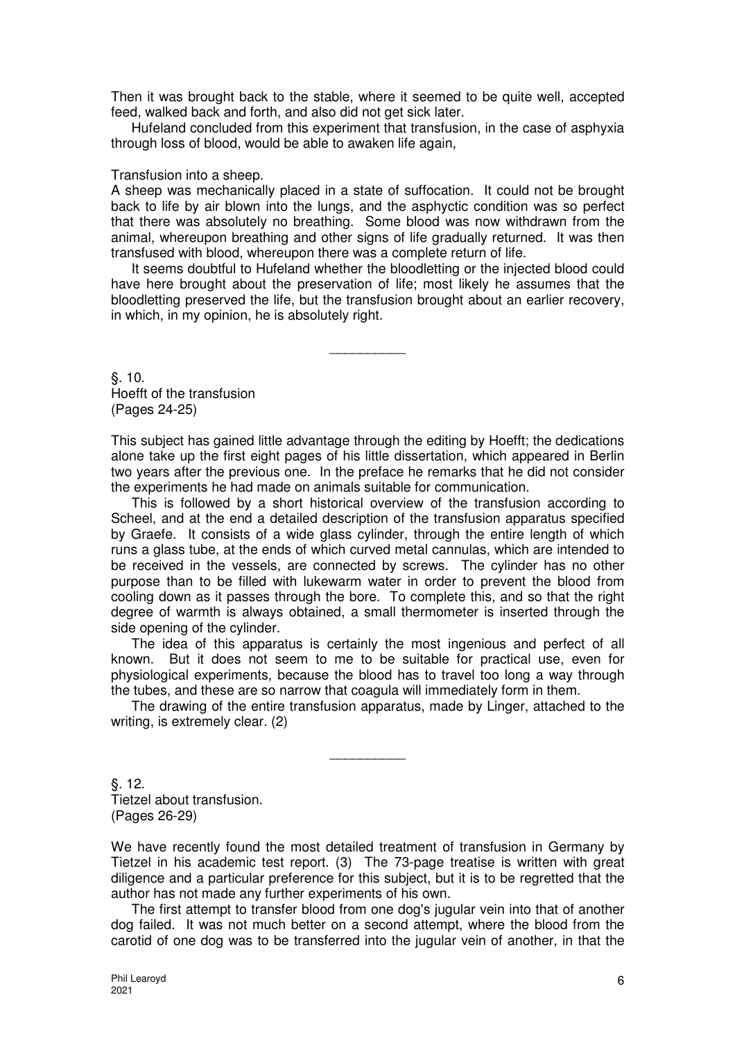Then it was brought back to the stable, where it seemed to be quite well, accepted feed, walked back and forth, and also did not get sick later.

Hufeland concluded from this experiment that transfusion, in the case of asphyxia through loss of blood, would be able to awaken life again,

#### Transfusion into a sheep.

A sheep was mechanically placed in a state of suffocation. It could not be brought back to life by air blown into the lungs, and the asphyctic condition was so perfect that there was absolutely no breathing. Some blood was now withdrawn from the animal, whereupon breathing and other signs of life gradually returned. It was then transfused with blood, whereupon there was a complete return of life.

It seems doubtful to Hufeland whether the bloodletting or the injected blood could have here brought about the preservation of life; most likely he assumes that the bloodletting preserved the life, but the transfusion brought about an earlier recovery, in which, in my opinion, he is absolutely right.

 $\overline{\phantom{a}}$ 

§. 10. Hoefft of the transfusion (Pages 24-25)

This subject has gained little advantage through the editing by Hoefft; the dedications alone take up the first eight pages of his little dissertation, which appeared in Berlin two years after the previous one. In the preface he remarks that he did not consider the experiments he had made on animals suitable for communication.

This is followed by a short historical overview of the transfusion according to Scheel, and at the end a detailed description of the transfusion apparatus specified by Graefe. It consists of a wide glass cylinder, through the entire length of which runs a glass tube, at the ends of which curved metal cannulas, which are intended to be received in the vessels, are connected by screws. The cylinder has no other purpose than to be filled with lukewarm water in order to prevent the blood from cooling down as it passes through the bore. To complete this, and so that the right degree of warmth is always obtained, a small thermometer is inserted through the side opening of the cylinder.

The idea of this apparatus is certainly the most ingenious and perfect of all known. But it does not seem to me to be suitable for practical use, even for physiological experiments, because the blood has to travel too long a way through the tubes, and these are so narrow that coagula will immediately form in them.

The drawing of the entire transfusion apparatus, made by Linger, attached to the writing, is extremely clear. (2)

\_\_\_\_\_\_\_\_\_\_

§. 12. Tietzel about transfusion. (Pages 26-29)

We have recently found the most detailed treatment of transfusion in Germany by Tietzel in his academic test report. (3) The 73-page treatise is written with great diligence and a particular preference for this subject, but it is to be regretted that the author has not made any further experiments of his own.

The first attempt to transfer blood from one dog's jugular vein into that of another dog failed. It was not much better on a second attempt, where the blood from the carotid of one dog was to be transferred into the jugular vein of another, in that the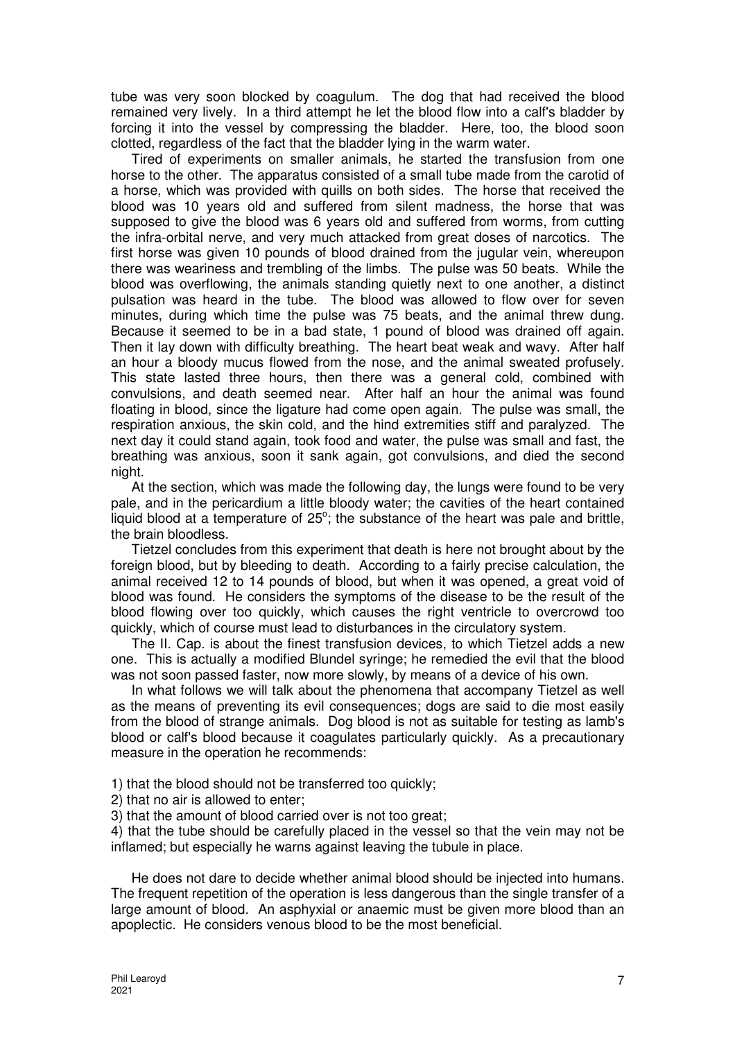tube was very soon blocked by coagulum. The dog that had received the blood remained very lively. In a third attempt he let the blood flow into a calf's bladder by forcing it into the vessel by compressing the bladder. Here, too, the blood soon clotted, regardless of the fact that the bladder lying in the warm water.

Tired of experiments on smaller animals, he started the transfusion from one horse to the other. The apparatus consisted of a small tube made from the carotid of a horse, which was provided with quills on both sides. The horse that received the blood was 10 years old and suffered from silent madness, the horse that was supposed to give the blood was 6 years old and suffered from worms, from cutting the infra-orbital nerve, and very much attacked from great doses of narcotics. The first horse was given 10 pounds of blood drained from the jugular vein, whereupon there was weariness and trembling of the limbs. The pulse was 50 beats. While the blood was overflowing, the animals standing quietly next to one another, a distinct pulsation was heard in the tube. The blood was allowed to flow over for seven minutes, during which time the pulse was 75 beats, and the animal threw dung. Because it seemed to be in a bad state, 1 pound of blood was drained off again. Then it lay down with difficulty breathing. The heart beat weak and wavy. After half an hour a bloody mucus flowed from the nose, and the animal sweated profusely. This state lasted three hours, then there was a general cold, combined with convulsions, and death seemed near. After half an hour the animal was found floating in blood, since the ligature had come open again. The pulse was small, the respiration anxious, the skin cold, and the hind extremities stiff and paralyzed. The next day it could stand again, took food and water, the pulse was small and fast, the breathing was anxious, soon it sank again, got convulsions, and died the second night.

At the section, which was made the following day, the lungs were found to be very pale, and in the pericardium a little bloody water; the cavities of the heart contained liquid blood at a temperature of  $25^\circ$ ; the substance of the heart was pale and brittle, the brain bloodless.

Tietzel concludes from this experiment that death is here not brought about by the foreign blood, but by bleeding to death. According to a fairly precise calculation, the animal received 12 to 14 pounds of blood, but when it was opened, a great void of blood was found. He considers the symptoms of the disease to be the result of the blood flowing over too quickly, which causes the right ventricle to overcrowd too quickly, which of course must lead to disturbances in the circulatory system.

The II. Cap. is about the finest transfusion devices, to which Tietzel adds a new one. This is actually a modified Blundel syringe; he remedied the evil that the blood was not soon passed faster, now more slowly, by means of a device of his own.

In what follows we will talk about the phenomena that accompany Tietzel as well as the means of preventing its evil consequences; dogs are said to die most easily from the blood of strange animals. Dog blood is not as suitable for testing as lamb's blood or calf's blood because it coagulates particularly quickly. As a precautionary measure in the operation he recommends:

- 1) that the blood should not be transferred too quickly;
- 2) that no air is allowed to enter;
- 3) that the amount of blood carried over is not too great;

4) that the tube should be carefully placed in the vessel so that the vein may not be inflamed; but especially he warns against leaving the tubule in place.

He does not dare to decide whether animal blood should be injected into humans. The frequent repetition of the operation is less dangerous than the single transfer of a large amount of blood. An asphyxial or anaemic must be given more blood than an apoplectic. He considers venous blood to be the most beneficial.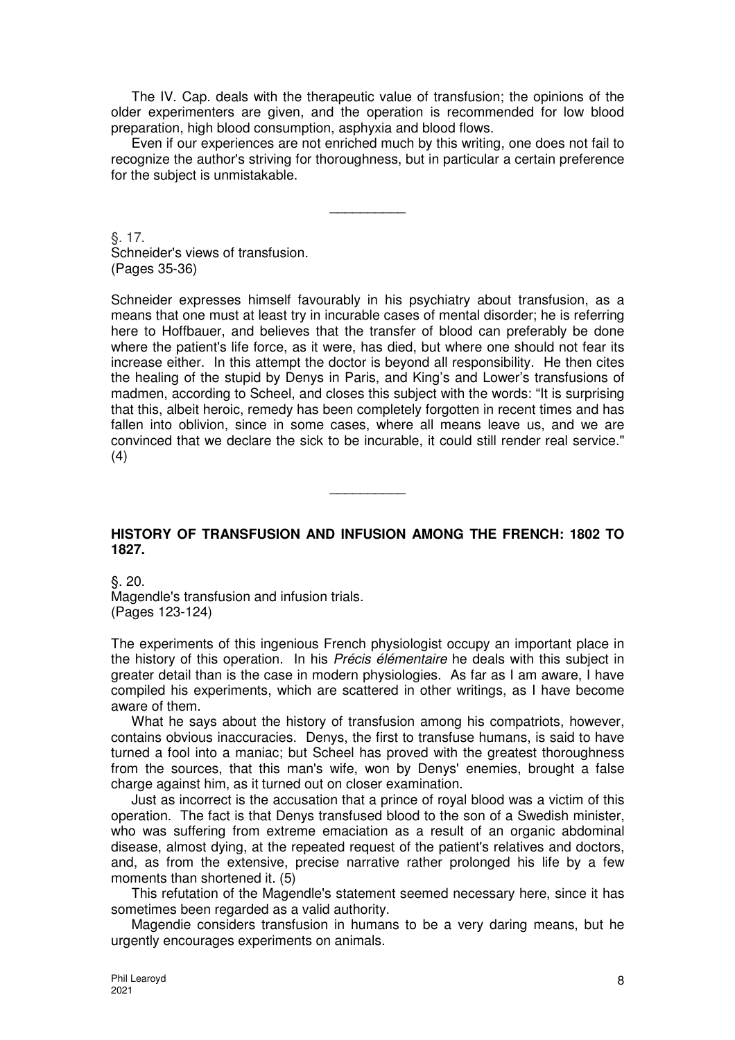The IV. Cap. deals with the therapeutic value of transfusion; the opinions of the older experimenters are given, and the operation is recommended for low blood preparation, high blood consumption, asphyxia and blood flows.

Even if our experiences are not enriched much by this writing, one does not fail to recognize the author's striving for thoroughness, but in particular a certain preference for the subject is unmistakable.

\_\_\_\_\_\_\_\_\_\_

§. 17. Schneider's views of transfusion. (Pages 35-36)

Schneider expresses himself favourably in his psychiatry about transfusion, as a means that one must at least try in incurable cases of mental disorder; he is referring here to Hoffbauer, and believes that the transfer of blood can preferably be done where the patient's life force, as it were, has died, but where one should not fear its increase either. In this attempt the doctor is beyond all responsibility. He then cites the healing of the stupid by Denys in Paris, and King's and Lower's transfusions of madmen, according to Scheel, and closes this subject with the words: "It is surprising that this, albeit heroic, remedy has been completely forgotten in recent times and has fallen into oblivion, since in some cases, where all means leave us, and we are convinced that we declare the sick to be incurable, it could still render real service." (4)

# **HISTORY OF TRANSFUSION AND INFUSION AMONG THE FRENCH: 1802 TO 1827.**

 $\overline{\phantom{a}}$ 

§. 20. Magendle's transfusion and infusion trials. (Pages 123-124)

The experiments of this ingenious French physiologist occupy an important place in the history of this operation. In his Précis élémentaire he deals with this subject in greater detail than is the case in modern physiologies. As far as I am aware, I have compiled his experiments, which are scattered in other writings, as I have become aware of them.

What he says about the history of transfusion among his compatriots, however, contains obvious inaccuracies. Denys, the first to transfuse humans, is said to have turned a fool into a maniac; but Scheel has proved with the greatest thoroughness from the sources, that this man's wife, won by Denys' enemies, brought a false charge against him, as it turned out on closer examination.

Just as incorrect is the accusation that a prince of royal blood was a victim of this operation. The fact is that Denys transfused blood to the son of a Swedish minister, who was suffering from extreme emaciation as a result of an organic abdominal disease, almost dying, at the repeated request of the patient's relatives and doctors, and, as from the extensive, precise narrative rather prolonged his life by a few moments than shortened it. (5)

This refutation of the Magendle's statement seemed necessary here, since it has sometimes been regarded as a valid authority.

Magendie considers transfusion in humans to be a very daring means, but he urgently encourages experiments on animals.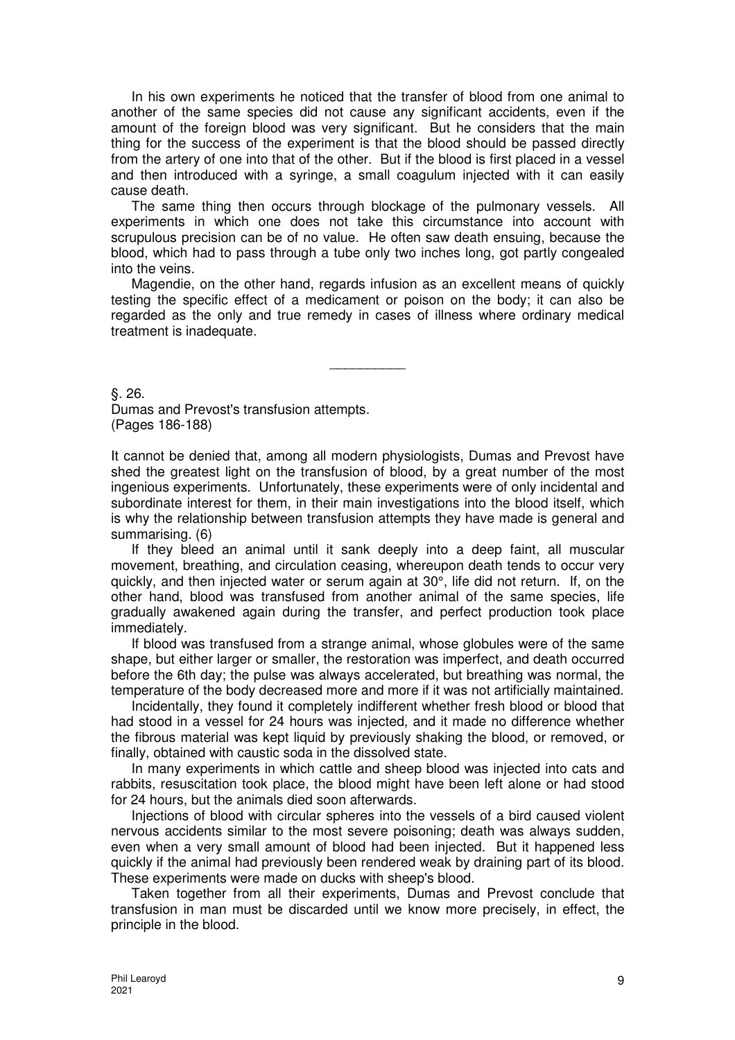In his own experiments he noticed that the transfer of blood from one animal to another of the same species did not cause any significant accidents, even if the amount of the foreign blood was very significant. But he considers that the main thing for the success of the experiment is that the blood should be passed directly from the artery of one into that of the other. But if the blood is first placed in a vessel and then introduced with a syringe, a small coagulum injected with it can easily cause death.

The same thing then occurs through blockage of the pulmonary vessels. All experiments in which one does not take this circumstance into account with scrupulous precision can be of no value. He often saw death ensuing, because the blood, which had to pass through a tube only two inches long, got partly congealed into the veins.

Magendie, on the other hand, regards infusion as an excellent means of quickly testing the specific effect of a medicament or poison on the body; it can also be regarded as the only and true remedy in cases of illness where ordinary medical treatment is inadequate.

 $\overline{\phantom{a}}$ 

§. 26. Dumas and Prevost's transfusion attempts. (Pages 186-188)

It cannot be denied that, among all modern physiologists, Dumas and Prevost have shed the greatest light on the transfusion of blood, by a great number of the most ingenious experiments. Unfortunately, these experiments were of only incidental and subordinate interest for them, in their main investigations into the blood itself, which is why the relationship between transfusion attempts they have made is general and summarising. (6)

If they bleed an animal until it sank deeply into a deep faint, all muscular movement, breathing, and circulation ceasing, whereupon death tends to occur very quickly, and then injected water or serum again at 30°, life did not return. If, on the other hand, blood was transfused from another animal of the same species, life gradually awakened again during the transfer, and perfect production took place immediately.

If blood was transfused from a strange animal, whose globules were of the same shape, but either larger or smaller, the restoration was imperfect, and death occurred before the 6th day; the pulse was always accelerated, but breathing was normal, the temperature of the body decreased more and more if it was not artificially maintained.

Incidentally, they found it completely indifferent whether fresh blood or blood that had stood in a vessel for 24 hours was injected, and it made no difference whether the fibrous material was kept liquid by previously shaking the blood, or removed, or finally, obtained with caustic soda in the dissolved state.

In many experiments in which cattle and sheep blood was injected into cats and rabbits, resuscitation took place, the blood might have been left alone or had stood for 24 hours, but the animals died soon afterwards.

Injections of blood with circular spheres into the vessels of a bird caused violent nervous accidents similar to the most severe poisoning; death was always sudden, even when a very small amount of blood had been injected. But it happened less quickly if the animal had previously been rendered weak by draining part of its blood. These experiments were made on ducks with sheep's blood.

Taken together from all their experiments, Dumas and Prevost conclude that transfusion in man must be discarded until we know more precisely, in effect, the principle in the blood.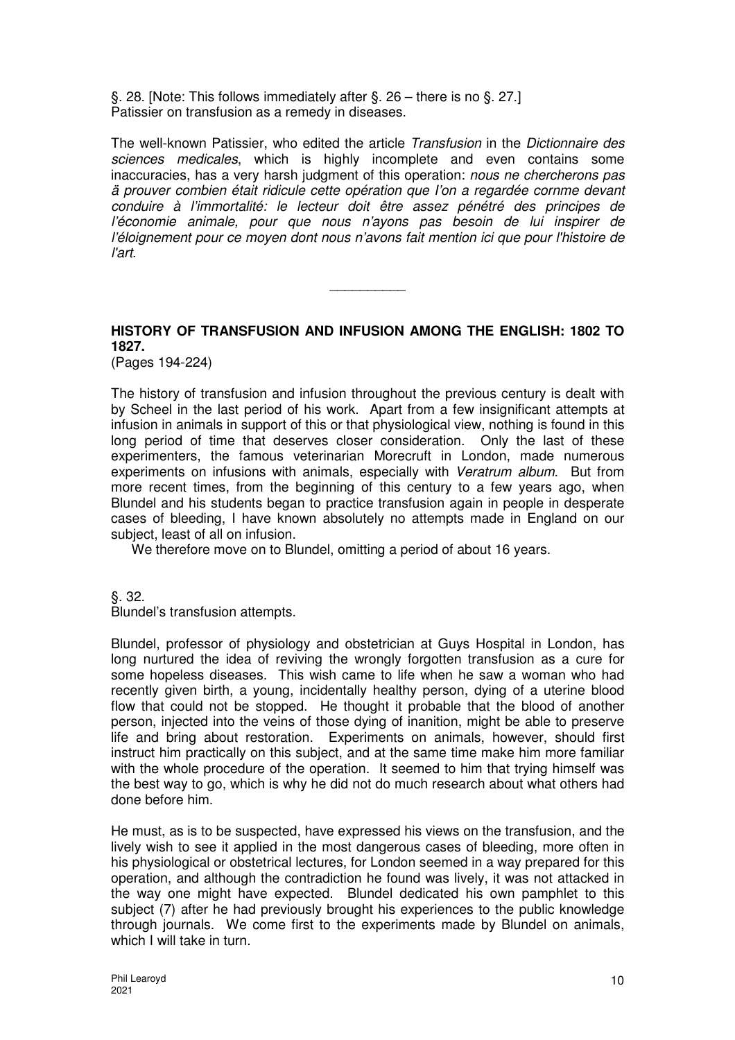§. 28. [Note: This follows immediately after §. 26 – there is no §. 27.] Patissier on transfusion as a remedy in diseases.

The well-known Patissier, who edited the article Transfusion in the Dictionnaire des sciences medicales, which is highly incomplete and even contains some inaccuracies, has a very harsh judgment of this operation: nous ne chercherons pas ä prouver combien était ridicule cette opération que I'on a regardée cornme devant conduire à l'immortalité: le lecteur doit être assez pénétré des principes de l'économie animale, pour que nous n'ayons pas besoin de lui inspirer de l'éloignement pour ce moyen dont nous n'avons fait mention ici que pour l'histoire de l'art.

# **HISTORY OF TRANSFUSION AND INFUSION AMONG THE ENGLISH: 1802 TO 1827.**

 $\overline{\phantom{a}}$ 

(Pages 194-224)

The history of transfusion and infusion throughout the previous century is dealt with by Scheel in the last period of his work. Apart from a few insignificant attempts at infusion in animals in support of this or that physiological view, nothing is found in this long period of time that deserves closer consideration. Only the last of these experimenters, the famous veterinarian Morecruft in London, made numerous experiments on infusions with animals, especially with Veratrum album. But from more recent times, from the beginning of this century to a few years ago, when Blundel and his students began to practice transfusion again in people in desperate cases of bleeding, I have known absolutely no attempts made in England on our subject, least of all on infusion.

We therefore move on to Blundel, omitting a period of about 16 years.

§. 32.

Blundel's transfusion attempts.

Blundel, professor of physiology and obstetrician at Guys Hospital in London, has long nurtured the idea of reviving the wrongly forgotten transfusion as a cure for some hopeless diseases. This wish came to life when he saw a woman who had recently given birth, a young, incidentally healthy person, dying of a uterine blood flow that could not be stopped. He thought it probable that the blood of another person, injected into the veins of those dying of inanition, might be able to preserve life and bring about restoration. Experiments on animals, however, should first instruct him practically on this subject, and at the same time make him more familiar with the whole procedure of the operation. It seemed to him that trying himself was the best way to go, which is why he did not do much research about what others had done before him.

He must, as is to be suspected, have expressed his views on the transfusion, and the lively wish to see it applied in the most dangerous cases of bleeding, more often in his physiological or obstetrical lectures, for London seemed in a way prepared for this operation, and although the contradiction he found was lively, it was not attacked in the way one might have expected. Blundel dedicated his own pamphlet to this subject (7) after he had previously brought his experiences to the public knowledge through journals. We come first to the experiments made by Blundel on animals, which I will take in turn.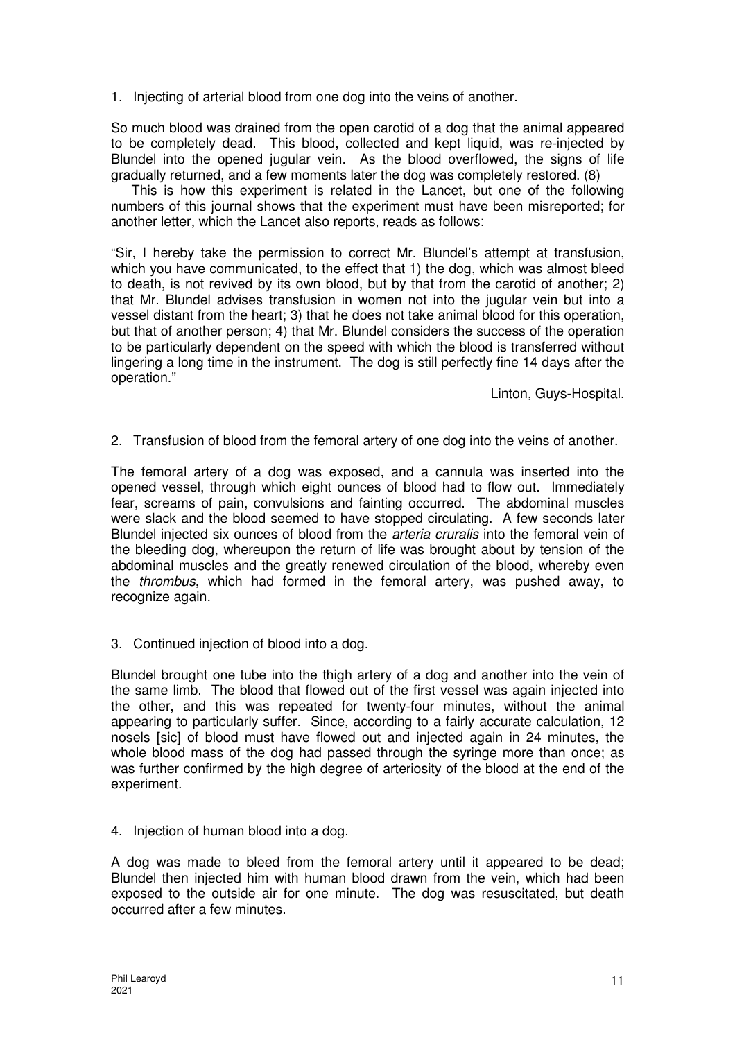1. Injecting of arterial blood from one dog into the veins of another.

So much blood was drained from the open carotid of a dog that the animal appeared to be completely dead. This blood, collected and kept liquid, was re-injected by Blundel into the opened jugular vein. As the blood overflowed, the signs of life gradually returned, and a few moments later the dog was completely restored. (8)

This is how this experiment is related in the Lancet, but one of the following numbers of this journal shows that the experiment must have been misreported; for another letter, which the Lancet also reports, reads as follows:

"Sir, I hereby take the permission to correct Mr. Blundel's attempt at transfusion, which you have communicated, to the effect that 1) the dog, which was almost bleed to death, is not revived by its own blood, but by that from the carotid of another; 2) that Mr. Blundel advises transfusion in women not into the jugular vein but into a vessel distant from the heart; 3) that he does not take animal blood for this operation, but that of another person; 4) that Mr. Blundel considers the success of the operation to be particularly dependent on the speed with which the blood is transferred without lingering a long time in the instrument. The dog is still perfectly fine 14 days after the operation."

Linton, Guys-Hospital.

2. Transfusion of blood from the femoral artery of one dog into the veins of another.

The femoral artery of a dog was exposed, and a cannula was inserted into the opened vessel, through which eight ounces of blood had to flow out. Immediately fear, screams of pain, convulsions and fainting occurred. The abdominal muscles were slack and the blood seemed to have stopped circulating. A few seconds later Blundel injected six ounces of blood from the *arteria cruralis* into the femoral vein of the bleeding dog, whereupon the return of life was brought about by tension of the abdominal muscles and the greatly renewed circulation of the blood, whereby even the thrombus, which had formed in the femoral artery, was pushed away, to recognize again.

3. Continued injection of blood into a dog.

Blundel brought one tube into the thigh artery of a dog and another into the vein of the same limb. The blood that flowed out of the first vessel was again injected into the other, and this was repeated for twenty-four minutes, without the animal appearing to particularly suffer. Since, according to a fairly accurate calculation, 12 nosels [sic] of blood must have flowed out and injected again in 24 minutes, the whole blood mass of the dog had passed through the syringe more than once; as was further confirmed by the high degree of arteriosity of the blood at the end of the experiment.

4. Injection of human blood into a dog.

A dog was made to bleed from the femoral artery until it appeared to be dead; Blundel then injected him with human blood drawn from the vein, which had been exposed to the outside air for one minute. The dog was resuscitated, but death occurred after a few minutes.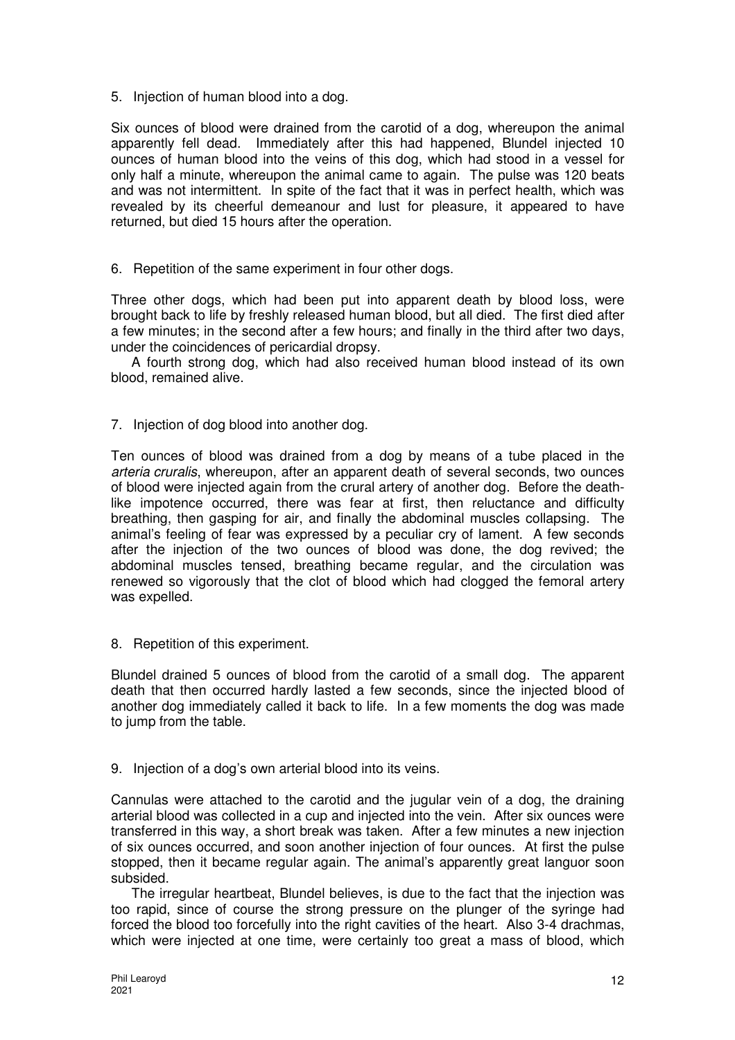5. Injection of human blood into a dog.

Six ounces of blood were drained from the carotid of a dog, whereupon the animal apparently fell dead. Immediately after this had happened, Blundel injected 10 ounces of human blood into the veins of this dog, which had stood in a vessel for only half a minute, whereupon the animal came to again. The pulse was 120 beats and was not intermittent. In spite of the fact that it was in perfect health, which was revealed by its cheerful demeanour and lust for pleasure, it appeared to have returned, but died 15 hours after the operation.

6. Repetition of the same experiment in four other dogs.

Three other dogs, which had been put into apparent death by blood loss, were brought back to life by freshly released human blood, but all died. The first died after a few minutes; in the second after a few hours; and finally in the third after two days, under the coincidences of pericardial dropsy.

A fourth strong dog, which had also received human blood instead of its own blood, remained alive.

7. Injection of dog blood into another dog.

Ten ounces of blood was drained from a dog by means of a tube placed in the arteria cruralis, whereupon, after an apparent death of several seconds, two ounces of blood were injected again from the crural artery of another dog. Before the deathlike impotence occurred, there was fear at first, then reluctance and difficulty breathing, then gasping for air, and finally the abdominal muscles collapsing. The animal's feeling of fear was expressed by a peculiar cry of lament. A few seconds after the injection of the two ounces of blood was done, the dog revived; the abdominal muscles tensed, breathing became regular, and the circulation was renewed so vigorously that the clot of blood which had clogged the femoral artery was expelled.

8. Repetition of this experiment.

Blundel drained 5 ounces of blood from the carotid of a small dog. The apparent death that then occurred hardly lasted a few seconds, since the injected blood of another dog immediately called it back to life. In a few moments the dog was made to jump from the table.

9. Injection of a dog's own arterial blood into its veins.

Cannulas were attached to the carotid and the jugular vein of a dog, the draining arterial blood was collected in a cup and injected into the vein. After six ounces were transferred in this way, a short break was taken. After a few minutes a new injection of six ounces occurred, and soon another injection of four ounces. At first the pulse stopped, then it became regular again. The animal's apparently great languor soon subsided.

The irregular heartbeat, Blundel believes, is due to the fact that the injection was too rapid, since of course the strong pressure on the plunger of the syringe had forced the blood too forcefully into the right cavities of the heart. Also 3-4 drachmas, which were injected at one time, were certainly too great a mass of blood, which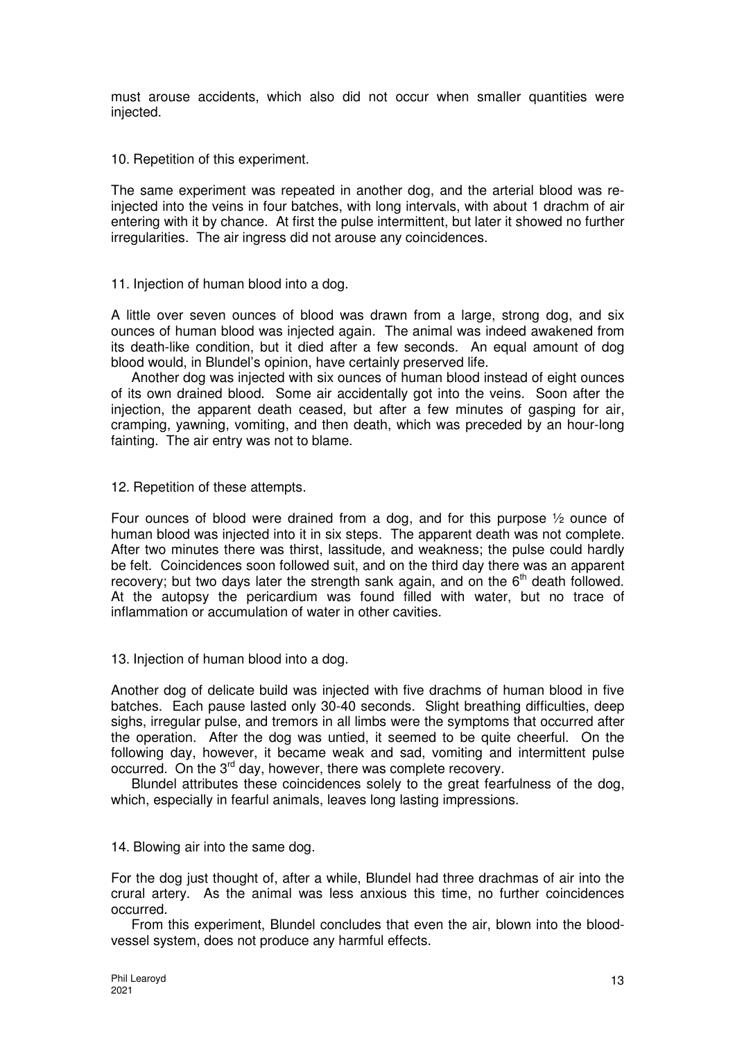must arouse accidents, which also did not occur when smaller quantities were injected.

10. Repetition of this experiment.

The same experiment was repeated in another dog, and the arterial blood was reinjected into the veins in four batches, with long intervals, with about 1 drachm of air entering with it by chance. At first the pulse intermittent, but later it showed no further irregularities. The air ingress did not arouse any coincidences.

11. Injection of human blood into a dog.

A little over seven ounces of blood was drawn from a large, strong dog, and six ounces of human blood was injected again. The animal was indeed awakened from its death-like condition, but it died after a few seconds. An equal amount of dog blood would, in Blundel's opinion, have certainly preserved life.

Another dog was injected with six ounces of human blood instead of eight ounces of its own drained blood. Some air accidentally got into the veins. Soon after the injection, the apparent death ceased, but after a few minutes of gasping for air, cramping, yawning, vomiting, and then death, which was preceded by an hour-long fainting. The air entry was not to blame.

12. Repetition of these attempts.

Four ounces of blood were drained from a dog, and for this purpose ½ ounce of human blood was injected into it in six steps. The apparent death was not complete. After two minutes there was thirst, lassitude, and weakness; the pulse could hardly be felt. Coincidences soon followed suit, and on the third day there was an apparent recovery; but two days later the strength sank again, and on the  $6<sup>th</sup>$  death followed. At the autopsy the pericardium was found filled with water, but no trace of inflammation or accumulation of water in other cavities.

13. Injection of human blood into a dog.

Another dog of delicate build was injected with five drachms of human blood in five batches. Each pause lasted only 30-40 seconds. Slight breathing difficulties, deep sighs, irregular pulse, and tremors in all limbs were the symptoms that occurred after the operation. After the dog was untied, it seemed to be quite cheerful. On the following day, however, it became weak and sad, vomiting and intermittent pulse occurred. On the 3<sup>rd</sup> day, however, there was complete recovery.

Blundel attributes these coincidences solely to the great fearfulness of the dog, which, especially in fearful animals, leaves long lasting impressions.

14. Blowing air into the same dog.

For the dog just thought of, after a while, Blundel had three drachmas of air into the crural artery. As the animal was less anxious this time, no further coincidences occurred.

From this experiment, Blundel concludes that even the air, blown into the bloodvessel system, does not produce any harmful effects.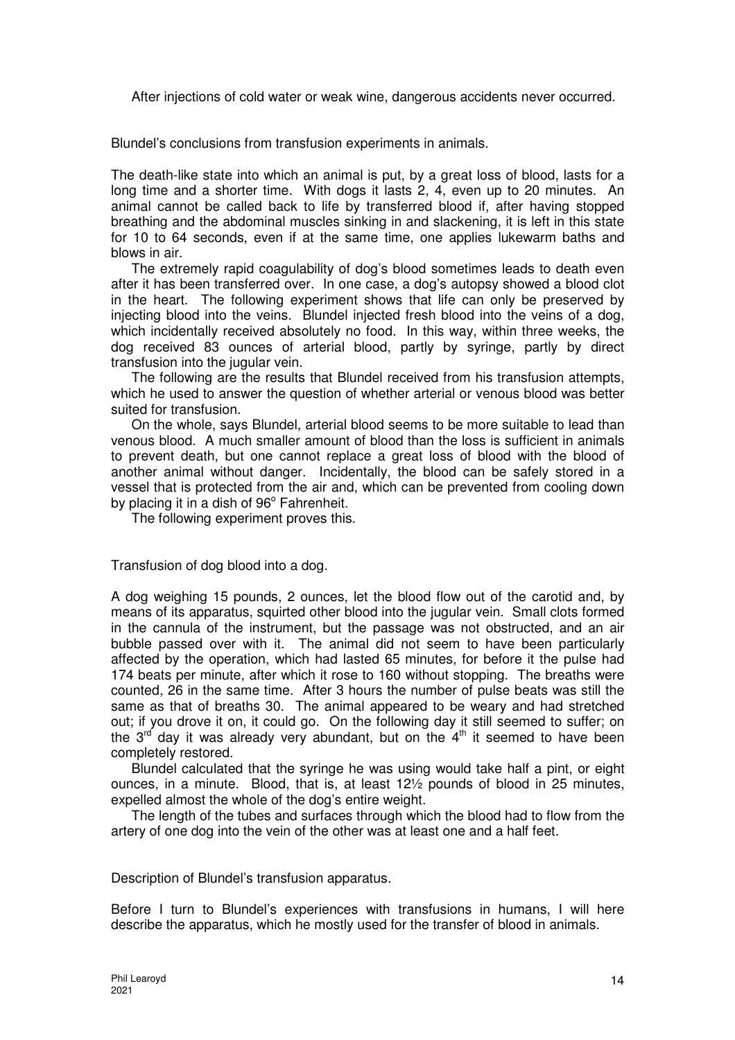After injections of cold water or weak wine, dangerous accidents never occurred.

Blundel's conclusions from transfusion experiments in animals.

The death-like state into which an animal is put, by a great loss of blood, lasts for a long time and a shorter time. With dogs it lasts 2, 4, even up to 20 minutes. An animal cannot be called back to life by transferred blood if, after having stopped breathing and the abdominal muscles sinking in and slackening, it is left in this state for 10 to 64 seconds, even if at the same time, one applies lukewarm baths and blows in air.

The extremely rapid coagulability of dog's blood sometimes leads to death even after it has been transferred over. In one case, a dog's autopsy showed a blood clot in the heart. The following experiment shows that life can only be preserved by injecting blood into the veins. Blundel injected fresh blood into the veins of a dog, which incidentally received absolutely no food. In this way, within three weeks, the dog received 83 ounces of arterial blood, partly by syringe, partly by direct transfusion into the jugular vein.

The following are the results that Blundel received from his transfusion attempts, which he used to answer the question of whether arterial or venous blood was better suited for transfusion.

On the whole, says Blundel, arterial blood seems to be more suitable to lead than venous blood. A much smaller amount of blood than the loss is sufficient in animals to prevent death, but one cannot replace a great loss of blood with the blood of another animal without danger. Incidentally, the blood can be safely stored in a vessel that is protected from the air and, which can be prevented from cooling down by placing it in a dish of 96° Fahrenheit.

The following experiment proves this.

Transfusion of dog blood into a dog.

A dog weighing 15 pounds, 2 ounces, let the blood flow out of the carotid and, by means of its apparatus, squirted other blood into the jugular vein. Small clots formed in the cannula of the instrument, but the passage was not obstructed, and an air bubble passed over with it. The animal did not seem to have been particularly affected by the operation, which had lasted 65 minutes, for before it the pulse had 174 beats per minute, after which it rose to 160 without stopping. The breaths were counted, 26 in the same time. After 3 hours the number of pulse beats was still the same as that of breaths 30. The animal appeared to be weary and had stretched out; if you drove it on, it could go. On the following day it still seemed to suffer; on the  $3^{rd}$  day it was already very abundant, but on the  $4^{th}$  it seemed to have been completely restored.

Blundel calculated that the syringe he was using would take half a pint, or eight ounces, in a minute. Blood, that is, at least 12½ pounds of blood in 25 minutes, expelled almost the whole of the dog's entire weight.

The length of the tubes and surfaces through which the blood had to flow from the artery of one dog into the vein of the other was at least one and a half feet.

Description of Blundel's transfusion apparatus.

Before I turn to Blundel's experiences with transfusions in humans, I will here describe the apparatus, which he mostly used for the transfer of blood in animals.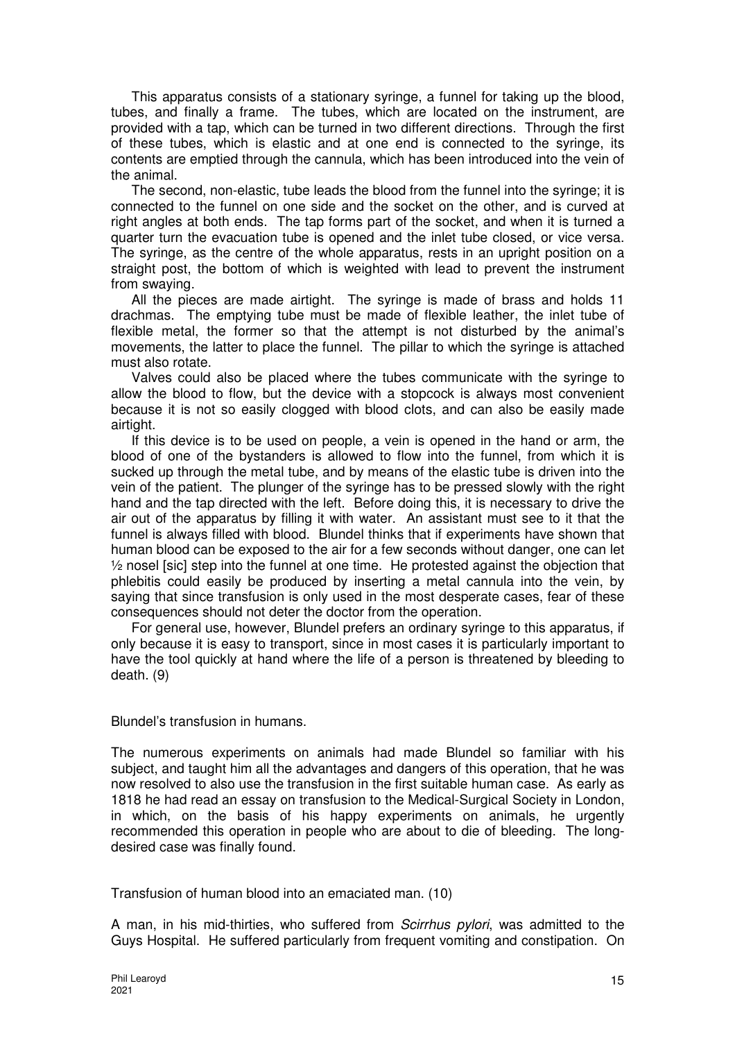This apparatus consists of a stationary syringe, a funnel for taking up the blood, tubes, and finally a frame. The tubes, which are located on the instrument, are provided with a tap, which can be turned in two different directions. Through the first of these tubes, which is elastic and at one end is connected to the syringe, its contents are emptied through the cannula, which has been introduced into the vein of the animal.

The second, non-elastic, tube leads the blood from the funnel into the syringe; it is connected to the funnel on one side and the socket on the other, and is curved at right angles at both ends. The tap forms part of the socket, and when it is turned a quarter turn the evacuation tube is opened and the inlet tube closed, or vice versa. The syringe, as the centre of the whole apparatus, rests in an upright position on a straight post, the bottom of which is weighted with lead to prevent the instrument from swaying.

All the pieces are made airtight. The syringe is made of brass and holds 11 drachmas. The emptying tube must be made of flexible leather, the inlet tube of flexible metal, the former so that the attempt is not disturbed by the animal's movements, the latter to place the funnel. The pillar to which the syringe is attached must also rotate.

Valves could also be placed where the tubes communicate with the syringe to allow the blood to flow, but the device with a stopcock is always most convenient because it is not so easily clogged with blood clots, and can also be easily made airtight.

If this device is to be used on people, a vein is opened in the hand or arm, the blood of one of the bystanders is allowed to flow into the funnel, from which it is sucked up through the metal tube, and by means of the elastic tube is driven into the vein of the patient. The plunger of the syringe has to be pressed slowly with the right hand and the tap directed with the left. Before doing this, it is necessary to drive the air out of the apparatus by filling it with water. An assistant must see to it that the funnel is always filled with blood. Blundel thinks that if experiments have shown that human blood can be exposed to the air for a few seconds without danger, one can let  $\frac{1}{2}$  nosel [sic] step into the funnel at one time. He protested against the objection that phlebitis could easily be produced by inserting a metal cannula into the vein, by saying that since transfusion is only used in the most desperate cases, fear of these consequences should not deter the doctor from the operation.

For general use, however, Blundel prefers an ordinary syringe to this apparatus, if only because it is easy to transport, since in most cases it is particularly important to have the tool quickly at hand where the life of a person is threatened by bleeding to death. (9)

Blundel's transfusion in humans.

The numerous experiments on animals had made Blundel so familiar with his subject, and taught him all the advantages and dangers of this operation, that he was now resolved to also use the transfusion in the first suitable human case. As early as 1818 he had read an essay on transfusion to the Medical-Surgical Society in London, in which, on the basis of his happy experiments on animals, he urgently recommended this operation in people who are about to die of bleeding. The longdesired case was finally found.

Transfusion of human blood into an emaciated man. (10)

A man, in his mid-thirties, who suffered from Scirrhus pylori, was admitted to the Guys Hospital. He suffered particularly from frequent vomiting and constipation. On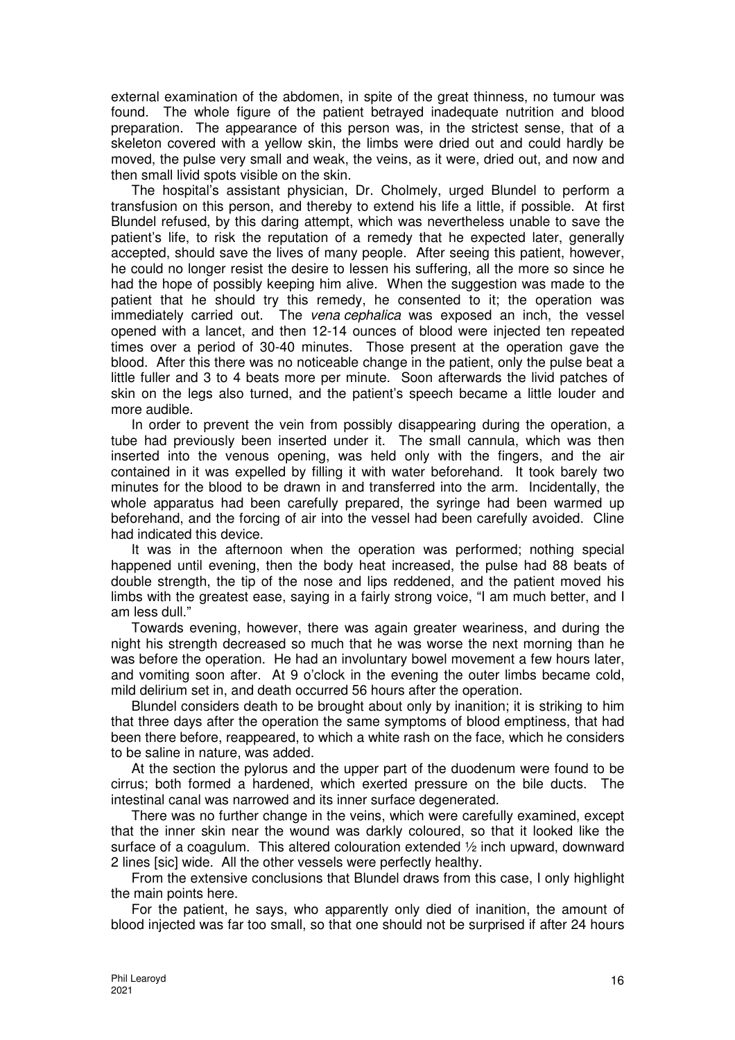external examination of the abdomen, in spite of the great thinness, no tumour was found. The whole figure of the patient betrayed inadequate nutrition and blood preparation. The appearance of this person was, in the strictest sense, that of a skeleton covered with a yellow skin, the limbs were dried out and could hardly be moved, the pulse very small and weak, the veins, as it were, dried out, and now and then small livid spots visible on the skin.

The hospital's assistant physician, Dr. Cholmely, urged Blundel to perform a transfusion on this person, and thereby to extend his life a little, if possible. At first Blundel refused, by this daring attempt, which was nevertheless unable to save the patient's life, to risk the reputation of a remedy that he expected later, generally accepted, should save the lives of many people. After seeing this patient, however, he could no longer resist the desire to lessen his suffering, all the more so since he had the hope of possibly keeping him alive. When the suggestion was made to the patient that he should try this remedy, he consented to it; the operation was immediately carried out. The vena cephalica was exposed an inch, the vessel opened with a lancet, and then 12-14 ounces of blood were injected ten repeated times over a period of 30-40 minutes. Those present at the operation gave the blood. After this there was no noticeable change in the patient, only the pulse beat a little fuller and 3 to 4 beats more per minute. Soon afterwards the livid patches of skin on the legs also turned, and the patient's speech became a little louder and more audible.

In order to prevent the vein from possibly disappearing during the operation, a tube had previously been inserted under it. The small cannula, which was then inserted into the venous opening, was held only with the fingers, and the air contained in it was expelled by filling it with water beforehand. It took barely two minutes for the blood to be drawn in and transferred into the arm. Incidentally, the whole apparatus had been carefully prepared, the syringe had been warmed up beforehand, and the forcing of air into the vessel had been carefully avoided. Cline had indicated this device.

It was in the afternoon when the operation was performed; nothing special happened until evening, then the body heat increased, the pulse had 88 beats of double strength, the tip of the nose and lips reddened, and the patient moved his limbs with the greatest ease, saying in a fairly strong voice, "I am much better, and I am less dull."

Towards evening, however, there was again greater weariness, and during the night his strength decreased so much that he was worse the next morning than he was before the operation. He had an involuntary bowel movement a few hours later, and vomiting soon after. At 9 o'clock in the evening the outer limbs became cold, mild delirium set in, and death occurred 56 hours after the operation.

Blundel considers death to be brought about only by inanition; it is striking to him that three days after the operation the same symptoms of blood emptiness, that had been there before, reappeared, to which a white rash on the face, which he considers to be saline in nature, was added.

At the section the pylorus and the upper part of the duodenum were found to be cirrus; both formed a hardened, which exerted pressure on the bile ducts. The intestinal canal was narrowed and its inner surface degenerated.

There was no further change in the veins, which were carefully examined, except that the inner skin near the wound was darkly coloured, so that it looked like the surface of a coagulum. This altered colouration extended ½ inch upward, downward 2 lines [sic] wide. All the other vessels were perfectly healthy.

From the extensive conclusions that Blundel draws from this case, I only highlight the main points here.

For the patient, he says, who apparently only died of inanition, the amount of blood injected was far too small, so that one should not be surprised if after 24 hours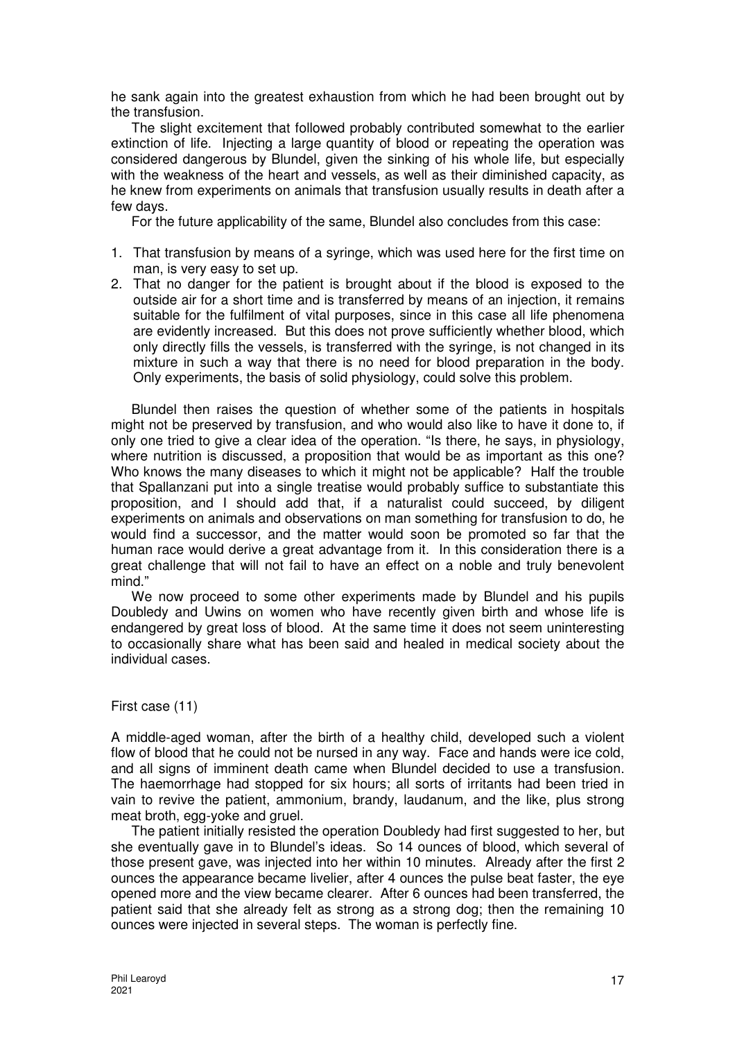he sank again into the greatest exhaustion from which he had been brought out by the transfusion.

The slight excitement that followed probably contributed somewhat to the earlier extinction of life. Injecting a large quantity of blood or repeating the operation was considered dangerous by Blundel, given the sinking of his whole life, but especially with the weakness of the heart and vessels, as well as their diminished capacity, as he knew from experiments on animals that transfusion usually results in death after a few days.

For the future applicability of the same, Blundel also concludes from this case:

- 1. That transfusion by means of a syringe, which was used here for the first time on man, is very easy to set up.
- 2. That no danger for the patient is brought about if the blood is exposed to the outside air for a short time and is transferred by means of an injection, it remains suitable for the fulfilment of vital purposes, since in this case all life phenomena are evidently increased. But this does not prove sufficiently whether blood, which only directly fills the vessels, is transferred with the syringe, is not changed in its mixture in such a way that there is no need for blood preparation in the body. Only experiments, the basis of solid physiology, could solve this problem.

Blundel then raises the question of whether some of the patients in hospitals might not be preserved by transfusion, and who would also like to have it done to, if only one tried to give a clear idea of the operation. "Is there, he says, in physiology, where nutrition is discussed, a proposition that would be as important as this one? Who knows the many diseases to which it might not be applicable? Half the trouble that Spallanzani put into a single treatise would probably suffice to substantiate this proposition, and I should add that, if a naturalist could succeed, by diligent experiments on animals and observations on man something for transfusion to do, he would find a successor, and the matter would soon be promoted so far that the human race would derive a great advantage from it. In this consideration there is a great challenge that will not fail to have an effect on a noble and truly benevolent mind."

We now proceed to some other experiments made by Blundel and his pupils Doubledy and Uwins on women who have recently given birth and whose life is endangered by great loss of blood. At the same time it does not seem uninteresting to occasionally share what has been said and healed in medical society about the individual cases.

## First case (11)

A middle-aged woman, after the birth of a healthy child, developed such a violent flow of blood that he could not be nursed in any way. Face and hands were ice cold, and all signs of imminent death came when Blundel decided to use a transfusion. The haemorrhage had stopped for six hours; all sorts of irritants had been tried in vain to revive the patient, ammonium, brandy, laudanum, and the like, plus strong meat broth, egg-yoke and gruel.

The patient initially resisted the operation Doubledy had first suggested to her, but she eventually gave in to Blundel's ideas. So 14 ounces of blood, which several of those present gave, was injected into her within 10 minutes. Already after the first 2 ounces the appearance became livelier, after 4 ounces the pulse beat faster, the eye opened more and the view became clearer. After 6 ounces had been transferred, the patient said that she already felt as strong as a strong dog; then the remaining 10 ounces were injected in several steps. The woman is perfectly fine.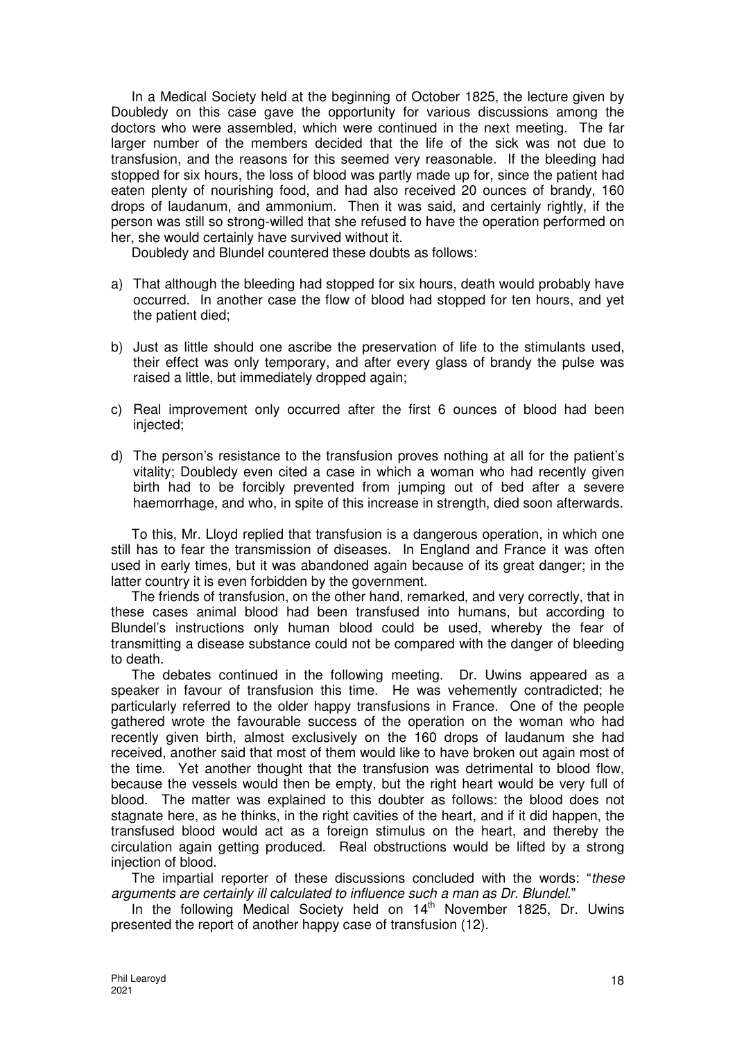In a Medical Society held at the beginning of October 1825, the lecture given by Doubledy on this case gave the opportunity for various discussions among the doctors who were assembled, which were continued in the next meeting. The far larger number of the members decided that the life of the sick was not due to transfusion, and the reasons for this seemed very reasonable. If the bleeding had stopped for six hours, the loss of blood was partly made up for, since the patient had eaten plenty of nourishing food, and had also received 20 ounces of brandy, 160 drops of laudanum, and ammonium. Then it was said, and certainly rightly, if the person was still so strong-willed that she refused to have the operation performed on her, she would certainly have survived without it.

Doubledy and Blundel countered these doubts as follows:

- a) That although the bleeding had stopped for six hours, death would probably have occurred. In another case the flow of blood had stopped for ten hours, and yet the patient died;
- b) Just as little should one ascribe the preservation of life to the stimulants used, their effect was only temporary, and after every glass of brandy the pulse was raised a little, but immediately dropped again;
- c) Real improvement only occurred after the first 6 ounces of blood had been injected;
- d) The person's resistance to the transfusion proves nothing at all for the patient's vitality; Doubledy even cited a case in which a woman who had recently given birth had to be forcibly prevented from jumping out of bed after a severe haemorrhage, and who, in spite of this increase in strength, died soon afterwards.

To this, Mr. Lloyd replied that transfusion is a dangerous operation, in which one still has to fear the transmission of diseases. In England and France it was often used in early times, but it was abandoned again because of its great danger; in the latter country it is even forbidden by the government.

The friends of transfusion, on the other hand, remarked, and very correctly, that in these cases animal blood had been transfused into humans, but according to Blundel's instructions only human blood could be used, whereby the fear of transmitting a disease substance could not be compared with the danger of bleeding to death.

The debates continued in the following meeting. Dr. Uwins appeared as a speaker in favour of transfusion this time. He was vehemently contradicted; he particularly referred to the older happy transfusions in France. One of the people gathered wrote the favourable success of the operation on the woman who had recently given birth, almost exclusively on the 160 drops of laudanum she had received, another said that most of them would like to have broken out again most of the time. Yet another thought that the transfusion was detrimental to blood flow, because the vessels would then be empty, but the right heart would be very full of blood. The matter was explained to this doubter as follows: the blood does not stagnate here, as he thinks, in the right cavities of the heart, and if it did happen, the transfused blood would act as a foreign stimulus on the heart, and thereby the circulation again getting produced. Real obstructions would be lifted by a strong injection of blood.

The impartial reporter of these discussions concluded with the words: "these arguments are certainly ill calculated to influence such a man as Dr. Blundel."

In the following Medical Society held on 14<sup>th</sup> November 1825, Dr. Uwins presented the report of another happy case of transfusion (12).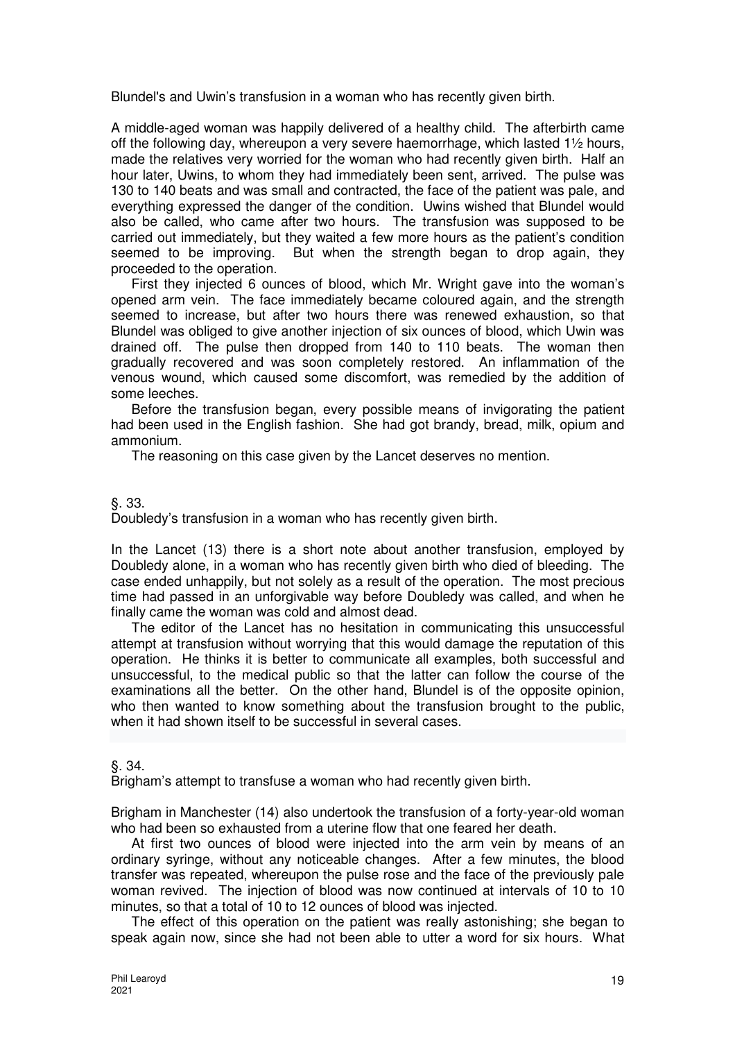Blundel's and Uwin's transfusion in a woman who has recently given birth.

A middle-aged woman was happily delivered of a healthy child. The afterbirth came off the following day, whereupon a very severe haemorrhage, which lasted 1½ hours, made the relatives very worried for the woman who had recently given birth. Half an hour later, Uwins, to whom they had immediately been sent, arrived. The pulse was 130 to 140 beats and was small and contracted, the face of the patient was pale, and everything expressed the danger of the condition. Uwins wished that Blundel would also be called, who came after two hours. The transfusion was supposed to be carried out immediately, but they waited a few more hours as the patient's condition seemed to be improving. But when the strength began to drop again, they proceeded to the operation.

First they injected 6 ounces of blood, which Mr. Wright gave into the woman's opened arm vein. The face immediately became coloured again, and the strength seemed to increase, but after two hours there was renewed exhaustion, so that Blundel was obliged to give another injection of six ounces of blood, which Uwin was drained off. The pulse then dropped from 140 to 110 beats. The woman then gradually recovered and was soon completely restored. An inflammation of the venous wound, which caused some discomfort, was remedied by the addition of some leeches.

Before the transfusion began, every possible means of invigorating the patient had been used in the English fashion. She had got brandy, bread, milk, opium and ammonium.

The reasoning on this case given by the Lancet deserves no mention.

§. 33.

Doubledy's transfusion in a woman who has recently given birth.

In the Lancet (13) there is a short note about another transfusion, employed by Doubledy alone, in a woman who has recently given birth who died of bleeding. The case ended unhappily, but not solely as a result of the operation. The most precious time had passed in an unforgivable way before Doubledy was called, and when he finally came the woman was cold and almost dead.

The editor of the Lancet has no hesitation in communicating this unsuccessful attempt at transfusion without worrying that this would damage the reputation of this operation. He thinks it is better to communicate all examples, both successful and unsuccessful, to the medical public so that the latter can follow the course of the examinations all the better. On the other hand, Blundel is of the opposite opinion, who then wanted to know something about the transfusion brought to the public, when it had shown itself to be successful in several cases.

§. 34.

Brigham's attempt to transfuse a woman who had recently given birth.

Brigham in Manchester (14) also undertook the transfusion of a forty-year-old woman who had been so exhausted from a uterine flow that one feared her death.

At first two ounces of blood were injected into the arm vein by means of an ordinary syringe, without any noticeable changes. After a few minutes, the blood transfer was repeated, whereupon the pulse rose and the face of the previously pale woman revived. The injection of blood was now continued at intervals of 10 to 10 minutes, so that a total of 10 to 12 ounces of blood was injected.

The effect of this operation on the patient was really astonishing; she began to speak again now, since she had not been able to utter a word for six hours. What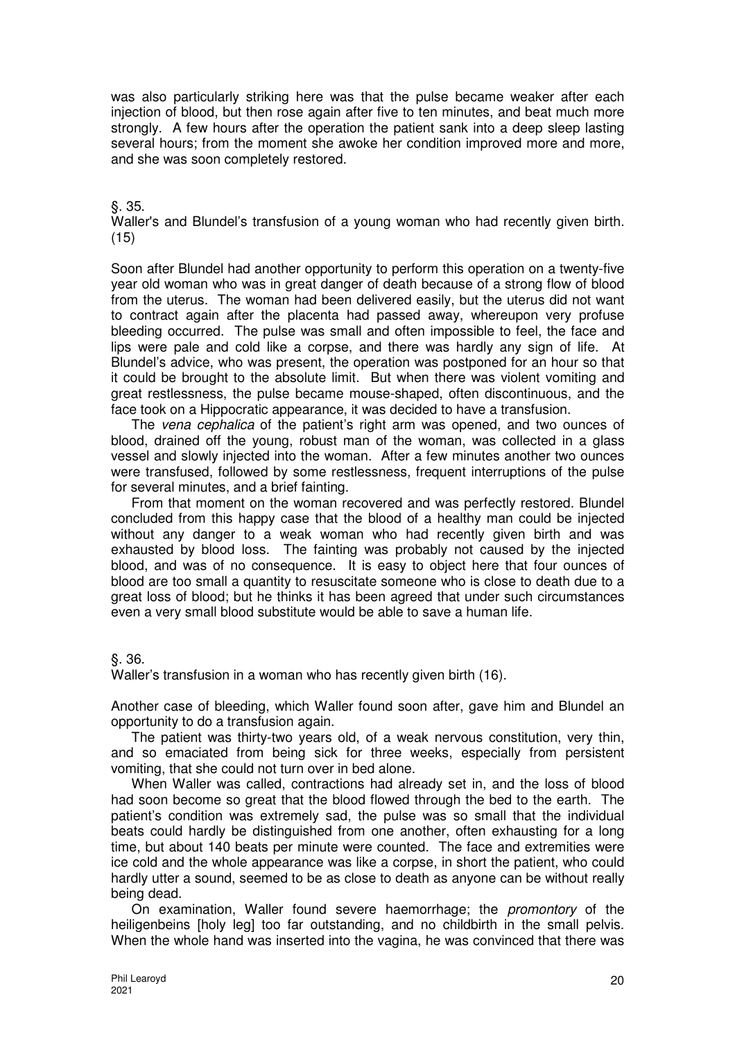was also particularly striking here was that the pulse became weaker after each injection of blood, but then rose again after five to ten minutes, and beat much more strongly. A few hours after the operation the patient sank into a deep sleep lasting several hours; from the moment she awoke her condition improved more and more, and she was soon completely restored.

## §. 35.

Waller's and Blundel's transfusion of a young woman who had recently given birth. (15)

Soon after Blundel had another opportunity to perform this operation on a twenty-five year old woman who was in great danger of death because of a strong flow of blood from the uterus. The woman had been delivered easily, but the uterus did not want to contract again after the placenta had passed away, whereupon very profuse bleeding occurred. The pulse was small and often impossible to feel, the face and lips were pale and cold like a corpse, and there was hardly any sign of life. At Blundel's advice, who was present, the operation was postponed for an hour so that it could be brought to the absolute limit. But when there was violent vomiting and great restlessness, the pulse became mouse-shaped, often discontinuous, and the face took on a Hippocratic appearance, it was decided to have a transfusion.

The vena cephalica of the patient's right arm was opened, and two ounces of blood, drained off the young, robust man of the woman, was collected in a glass vessel and slowly injected into the woman. After a few minutes another two ounces were transfused, followed by some restlessness, frequent interruptions of the pulse for several minutes, and a brief fainting.

From that moment on the woman recovered and was perfectly restored. Blundel concluded from this happy case that the blood of a healthy man could be injected without any danger to a weak woman who had recently given birth and was exhausted by blood loss. The fainting was probably not caused by the injected blood, and was of no consequence. It is easy to object here that four ounces of blood are too small a quantity to resuscitate someone who is close to death due to a great loss of blood; but he thinks it has been agreed that under such circumstances even a very small blood substitute would be able to save a human life.

§. 36.

Waller's transfusion in a woman who has recently given birth (16).

Another case of bleeding, which Waller found soon after, gave him and Blundel an opportunity to do a transfusion again.

The patient was thirty-two years old, of a weak nervous constitution, very thin, and so emaciated from being sick for three weeks, especially from persistent vomiting, that she could not turn over in bed alone.

When Waller was called, contractions had already set in, and the loss of blood had soon become so great that the blood flowed through the bed to the earth. The patient's condition was extremely sad, the pulse was so small that the individual beats could hardly be distinguished from one another, often exhausting for a long time, but about 140 beats per minute were counted. The face and extremities were ice cold and the whole appearance was like a corpse, in short the patient, who could hardly utter a sound, seemed to be as close to death as anyone can be without really being dead.

On examination, Waller found severe haemorrhage; the promontory of the heiligenbeins [holy leg] too far outstanding, and no childbirth in the small pelvis. When the whole hand was inserted into the vagina, he was convinced that there was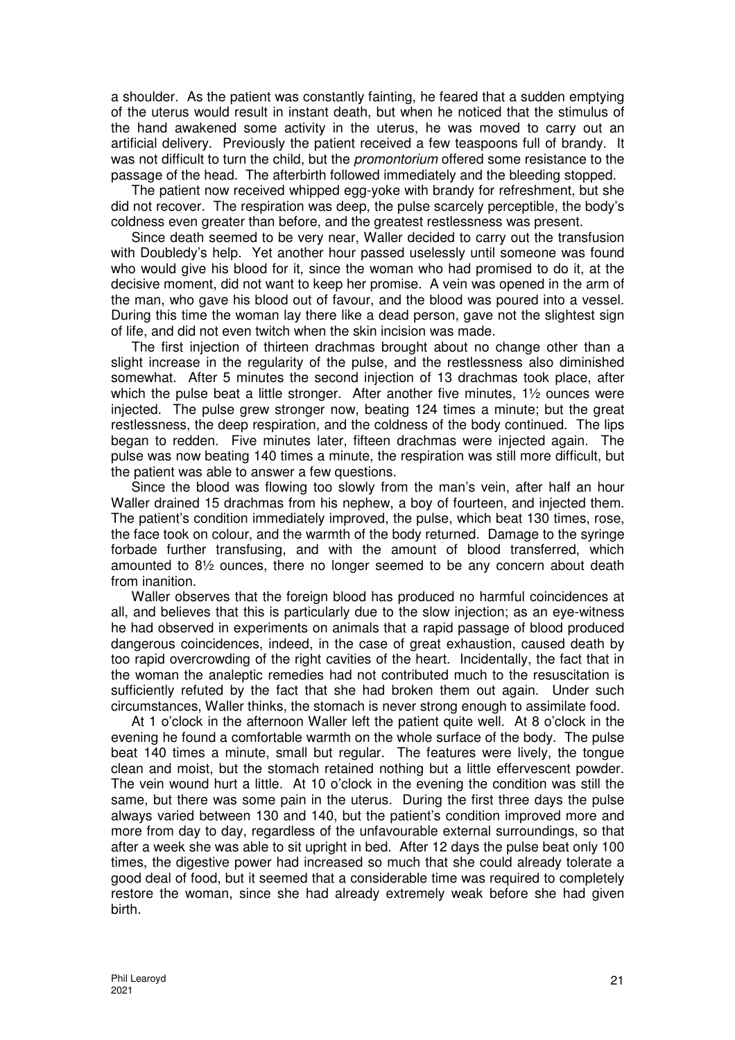a shoulder. As the patient was constantly fainting, he feared that a sudden emptying of the uterus would result in instant death, but when he noticed that the stimulus of the hand awakened some activity in the uterus, he was moved to carry out an artificial delivery. Previously the patient received a few teaspoons full of brandy. It was not difficult to turn the child, but the *promontorium* offered some resistance to the passage of the head. The afterbirth followed immediately and the bleeding stopped.

The patient now received whipped egg-yoke with brandy for refreshment, but she did not recover. The respiration was deep, the pulse scarcely perceptible, the body's coldness even greater than before, and the greatest restlessness was present.

Since death seemed to be very near, Waller decided to carry out the transfusion with Doubledy's help. Yet another hour passed uselessly until someone was found who would give his blood for it, since the woman who had promised to do it, at the decisive moment, did not want to keep her promise. A vein was opened in the arm of the man, who gave his blood out of favour, and the blood was poured into a vessel. During this time the woman lay there like a dead person, gave not the slightest sign of life, and did not even twitch when the skin incision was made.

The first injection of thirteen drachmas brought about no change other than a slight increase in the regularity of the pulse, and the restlessness also diminished somewhat. After 5 minutes the second injection of 13 drachmas took place, after which the pulse beat a little stronger. After another five minutes, 1<sup>1</sup>/<sub>2</sub> ounces were injected. The pulse grew stronger now, beating 124 times a minute; but the great restlessness, the deep respiration, and the coldness of the body continued. The lips began to redden. Five minutes later, fifteen drachmas were injected again. The pulse was now beating 140 times a minute, the respiration was still more difficult, but the patient was able to answer a few questions.

Since the blood was flowing too slowly from the man's vein, after half an hour Waller drained 15 drachmas from his nephew, a boy of fourteen, and injected them. The patient's condition immediately improved, the pulse, which beat 130 times, rose, the face took on colour, and the warmth of the body returned. Damage to the syringe forbade further transfusing, and with the amount of blood transferred, which amounted to 8½ ounces, there no longer seemed to be any concern about death from inanition.

Waller observes that the foreign blood has produced no harmful coincidences at all, and believes that this is particularly due to the slow injection; as an eye-witness he had observed in experiments on animals that a rapid passage of blood produced dangerous coincidences, indeed, in the case of great exhaustion, caused death by too rapid overcrowding of the right cavities of the heart. Incidentally, the fact that in the woman the analeptic remedies had not contributed much to the resuscitation is sufficiently refuted by the fact that she had broken them out again. Under such circumstances, Waller thinks, the stomach is never strong enough to assimilate food.

At 1 o'clock in the afternoon Waller left the patient quite well. At 8 o'clock in the evening he found a comfortable warmth on the whole surface of the body. The pulse beat 140 times a minute, small but regular. The features were lively, the tongue clean and moist, but the stomach retained nothing but a little effervescent powder. The vein wound hurt a little. At 10 o'clock in the evening the condition was still the same, but there was some pain in the uterus. During the first three days the pulse always varied between 130 and 140, but the patient's condition improved more and more from day to day, regardless of the unfavourable external surroundings, so that after a week she was able to sit upright in bed. After 12 days the pulse beat only 100 times, the digestive power had increased so much that she could already tolerate a good deal of food, but it seemed that a considerable time was required to completely restore the woman, since she had already extremely weak before she had given birth.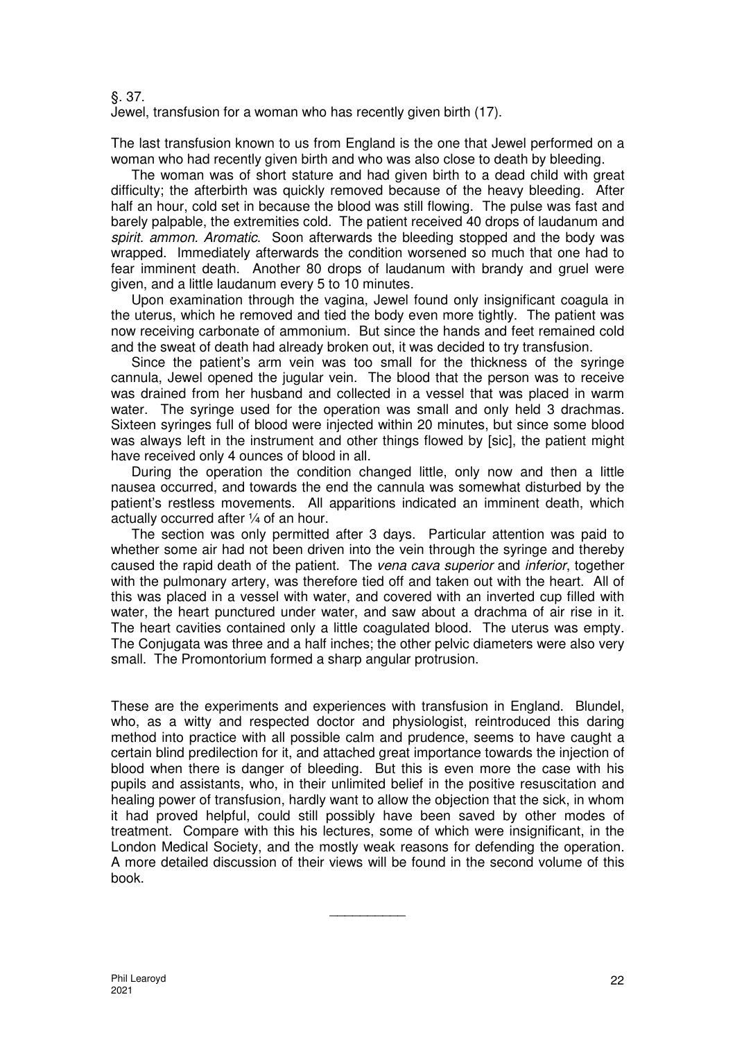§. 37.

Jewel, transfusion for a woman who has recently given birth (17).

The last transfusion known to us from England is the one that Jewel performed on a woman who had recently given birth and who was also close to death by bleeding.

The woman was of short stature and had given birth to a dead child with great difficulty; the afterbirth was quickly removed because of the heavy bleeding. After half an hour, cold set in because the blood was still flowing. The pulse was fast and barely palpable, the extremities cold. The patient received 40 drops of laudanum and spirit. ammon. Aromatic. Soon afterwards the bleeding stopped and the body was wrapped. Immediately afterwards the condition worsened so much that one had to fear imminent death. Another 80 drops of laudanum with brandy and gruel were given, and a little laudanum every 5 to 10 minutes.

Upon examination through the vagina, Jewel found only insignificant coagula in the uterus, which he removed and tied the body even more tightly. The patient was now receiving carbonate of ammonium. But since the hands and feet remained cold and the sweat of death had already broken out, it was decided to try transfusion.

Since the patient's arm vein was too small for the thickness of the syringe cannula, Jewel opened the jugular vein. The blood that the person was to receive was drained from her husband and collected in a vessel that was placed in warm water. The syringe used for the operation was small and only held 3 drachmas. Sixteen syringes full of blood were injected within 20 minutes, but since some blood was always left in the instrument and other things flowed by [sic], the patient might have received only 4 ounces of blood in all.

During the operation the condition changed little, only now and then a little nausea occurred, and towards the end the cannula was somewhat disturbed by the patient's restless movements. All apparitions indicated an imminent death, which actually occurred after ¼ of an hour.

The section was only permitted after 3 days. Particular attention was paid to whether some air had not been driven into the vein through the syringe and thereby caused the rapid death of the patient. The vena cava superior and inferior, together with the pulmonary artery, was therefore tied off and taken out with the heart. All of this was placed in a vessel with water, and covered with an inverted cup filled with water, the heart punctured under water, and saw about a drachma of air rise in it. The heart cavities contained only a little coagulated blood. The uterus was empty. The Conjugata was three and a half inches; the other pelvic diameters were also very small. The Promontorium formed a sharp angular protrusion.

These are the experiments and experiences with transfusion in England. Blundel, who, as a witty and respected doctor and physiologist, reintroduced this daring method into practice with all possible calm and prudence, seems to have caught a certain blind predilection for it, and attached great importance towards the injection of blood when there is danger of bleeding. But this is even more the case with his pupils and assistants, who, in their unlimited belief in the positive resuscitation and healing power of transfusion, hardly want to allow the objection that the sick, in whom it had proved helpful, could still possibly have been saved by other modes of treatment. Compare with this his lectures, some of which were insignificant, in the London Medical Society, and the mostly weak reasons for defending the operation. A more detailed discussion of their views will be found in the second volume of this book.

 $\overline{\phantom{a}}$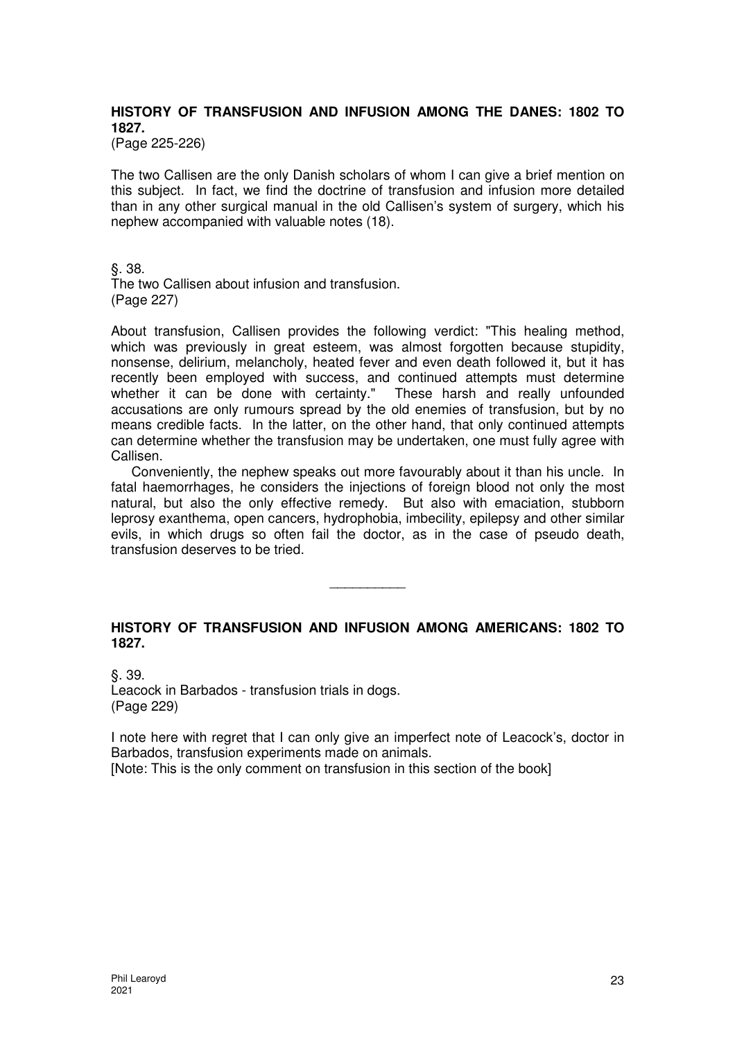# **HISTORY OF TRANSFUSION AND INFUSION AMONG THE DANES: 1802 TO 1827.**

(Page 225-226)

The two Callisen are the only Danish scholars of whom I can give a brief mention on this subject. In fact, we find the doctrine of transfusion and infusion more detailed than in any other surgical manual in the old Callisen's system of surgery, which his nephew accompanied with valuable notes (18).

§. 38.

The two Callisen about infusion and transfusion. (Page 227)

About transfusion, Callisen provides the following verdict: "This healing method, which was previously in great esteem, was almost forgotten because stupidity, nonsense, delirium, melancholy, heated fever and even death followed it, but it has recently been employed with success, and continued attempts must determine whether it can be done with certainty." These harsh and really unfounded accusations are only rumours spread by the old enemies of transfusion, but by no means credible facts. In the latter, on the other hand, that only continued attempts can determine whether the transfusion may be undertaken, one must fully agree with Callisen.

Conveniently, the nephew speaks out more favourably about it than his uncle. In fatal haemorrhages, he considers the injections of foreign blood not only the most natural, but also the only effective remedy. But also with emaciation, stubborn leprosy exanthema, open cancers, hydrophobia, imbecility, epilepsy and other similar evils, in which drugs so often fail the doctor, as in the case of pseudo death, transfusion deserves to be tried.

# **HISTORY OF TRANSFUSION AND INFUSION AMONG AMERICANS: 1802 TO 1827.**

\_\_\_\_\_\_\_\_\_\_

§. 39. Leacock in Barbados - transfusion trials in dogs. (Page 229)

I note here with regret that I can only give an imperfect note of Leacock's, doctor in Barbados, transfusion experiments made on animals.

[Note: This is the only comment on transfusion in this section of the book]